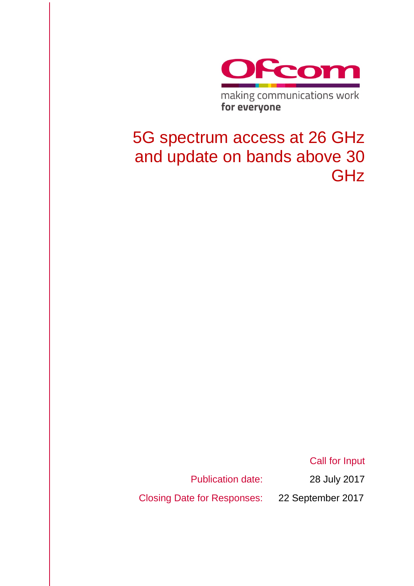

making communications work for everyone

## 5G spectrum access at 26 GHz and update on bands above 30 **GHz**

Call for Input

Publication date: 28 July 2017

Closing Date for Responses: 22 September 2017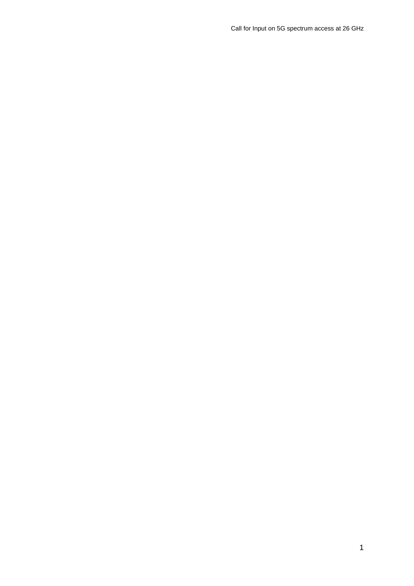Call for Input on 5G spectrum access at 26 GHz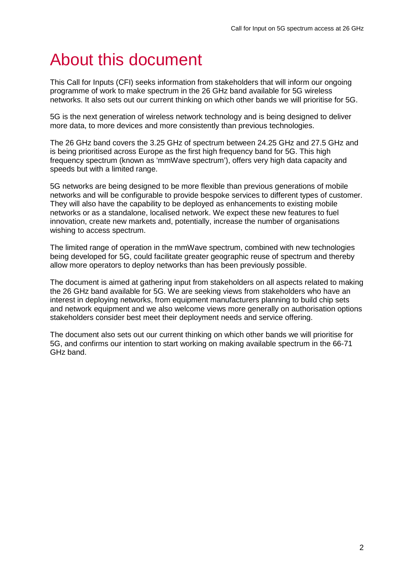## About this document

This Call for Inputs (CFI) seeks information from stakeholders that will inform our ongoing programme of work to make spectrum in the 26 GHz band available for 5G wireless networks. It also sets out our current thinking on which other bands we will prioritise for 5G.

5G is the next generation of wireless network technology and is being designed to deliver more data, to more devices and more consistently than previous technologies.

The 26 GHz band covers the 3.25 GHz of spectrum between 24.25 GHz and 27.5 GHz and is being prioritised across Europe as the first high frequency band for 5G. This high frequency spectrum (known as 'mmWave spectrum'), offers very high data capacity and speeds but with a limited range.

5G networks are being designed to be more flexible than previous generations of mobile networks and will be configurable to provide bespoke services to different types of customer. They will also have the capability to be deployed as enhancements to existing mobile networks or as a standalone, localised network. We expect these new features to fuel innovation, create new markets and, potentially, increase the number of organisations wishing to access spectrum.

The limited range of operation in the mmWave spectrum, combined with new technologies being developed for 5G, could facilitate greater geographic reuse of spectrum and thereby allow more operators to deploy networks than has been previously possible.

The document is aimed at gathering input from stakeholders on all aspects related to making the 26 GHz band available for 5G. We are seeking views from stakeholders who have an interest in deploying networks, from equipment manufacturers planning to build chip sets and network equipment and we also welcome views more generally on authorisation options stakeholders consider best meet their deployment needs and service offering.

The document also sets out our current thinking on which other bands we will prioritise for 5G, and confirms our intention to start working on making available spectrum in the 66-71 GHz band.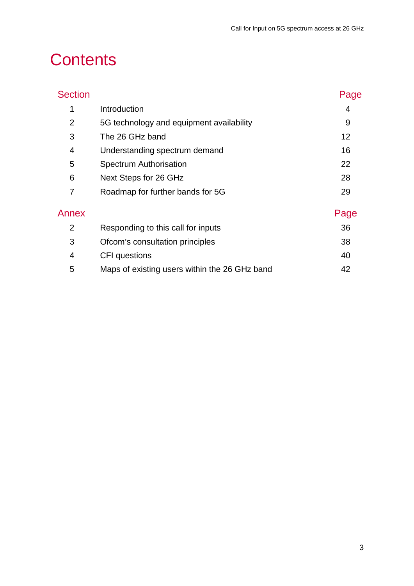## **Contents**

| <b>Section</b> |                                               | Page |
|----------------|-----------------------------------------------|------|
| 1              | Introduction                                  | 4    |
| 2              | 5G technology and equipment availability      | 9    |
| 3              | The 26 GHz band                               | 12   |
| 4              | Understanding spectrum demand                 | 16   |
| 5              | <b>Spectrum Authorisation</b>                 | 22   |
| 6              | Next Steps for 26 GHz                         | 28   |
| 7              | Roadmap for further bands for 5G              | 29   |
| Annex          |                                               | Page |
| $\overline{2}$ | Responding to this call for inputs            | 36   |
| 3              | Ofcom's consultation principles               | 38   |
| 4              | CFI questions                                 | 40   |
| 5              | Maps of existing users within the 26 GHz band | 42   |
|                |                                               |      |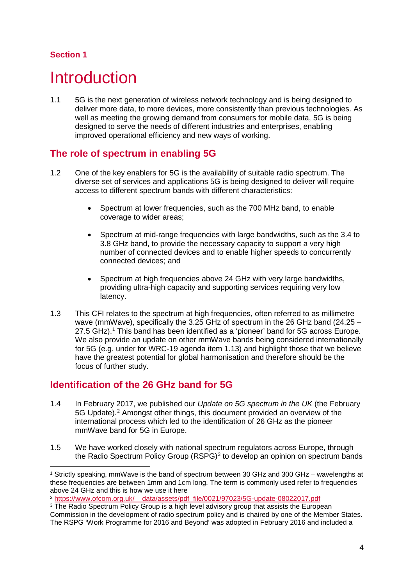## **Section 1**

<u>.</u>

## <span id="page-4-0"></span>**Introduction**

1.1 5G is the next generation of wireless network technology and is being designed to deliver more data, to more devices, more consistently than previous technologies. As well as meeting the growing demand from consumers for mobile data, 5G is being designed to serve the needs of different industries and enterprises, enabling improved operational efficiency and new ways of working.

## **The role of spectrum in enabling 5G**

- 1.2 One of the key enablers for 5G is the availability of suitable radio spectrum. The diverse set of services and applications 5G is being designed to deliver will require access to different spectrum bands with different characteristics:
	- Spectrum at lower frequencies, such as the 700 MHz band, to enable coverage to wider areas;
	- Spectrum at mid-range frequencies with large bandwidths, such as the 3.4 to 3.8 GHz band, to provide the necessary capacity to support a very high number of connected devices and to enable higher speeds to concurrently connected devices; and
	- Spectrum at high frequencies above 24 GHz with very large bandwidths, providing ultra-high capacity and supporting services requiring very low latency.
- 1.3 This CFI relates to the spectrum at high frequencies, often referred to as millimetre wave (mmWave), specifically the 3.25 GHz of spectrum in the 26 GHz band (24.25 – 27.5 GHz). [1](#page-4-1) This band has been identified as a 'pioneer' band for 5G across Europe. We also provide an update on other mmWave bands being considered internationally for 5G (e.g. under for WRC-19 agenda item 1.13) and highlight those that we believe have the greatest potential for global harmonisation and therefore should be the focus of further study.

## **Identification of the 26 GHz band for 5G**

- 1.4 In February 2017, we published our *Update on 5G spectrum in the UK* (the February 5G Update). [2](#page-4-2) Amongst other things, this document provided an overview of the international process which led to the identification of 26 GHz as the pioneer mmWave band for 5G in Europe.
- 1.5 We have worked closely with national spectrum regulators across Europe, through the Radio Spectrum Policy Group (RSPG)<sup>[3](#page-4-3)</sup> to develop an opinion on spectrum bands

<span id="page-4-2"></span><sup>2</sup> [https://www.ofcom.org.uk/\\_\\_data/assets/pdf\\_file/0021/97023/5G-update-08022017.pdf](https://www.ofcom.org.uk/__data/assets/pdf_file/0021/97023/5G-update-08022017.pdf)

<span id="page-4-1"></span><sup>1</sup> Strictly speaking, mmWave is the band of spectrum between 30 GHz and 300 GHz – wavelengths at these frequencies are between 1mm and 1cm long. The term is commonly used refer to frequencies above 24 GHz and this is how we use it here

<span id="page-4-3"></span><sup>&</sup>lt;sup>3</sup> The Radio Spectrum Policy Group is a high level advisory group that assists the European Commission in the development of radio spectrum policy and is chaired by one of the Member States. The RSPG 'Work Programme for 2016 and Beyond' was adopted in February 2016 and included a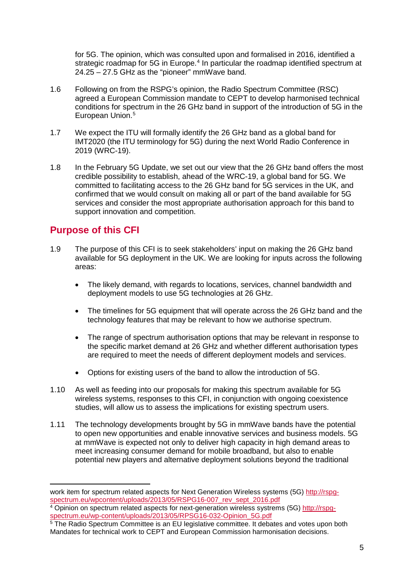for 5G. The opinion, which was consulted upon and formalised in 2016, identified a strategic roadmap for 5G in Europe.<sup>[4](#page-5-0)</sup> In particular the roadmap identified spectrum at 24.25 – 27.5 GHz as the "pioneer" mmWave band.

- 1.6 Following on from the RSPG's opinion, the Radio Spectrum Committee (RSC) agreed a European Commission mandate to CEPT to develop harmonised technical conditions for spectrum in the 26 GHz band in support of the introduction of 5G in the European Union.<sup>[5](#page-5-1)</sup>
- 1.7 We expect the ITU will formally identify the 26 GHz band as a global band for IMT2020 (the ITU terminology for 5G) during the next World Radio Conference in 2019 (WRC-19).
- 1.8 In the February 5G Update, we set out our view that the 26 GHz band offers the most credible possibility to establish, ahead of the WRC-19, a global band for 5G. We committed to facilitating access to the 26 GHz band for 5G services in the UK, and confirmed that we would consult on making all or part of the band available for 5G services and consider the most appropriate authorisation approach for this band to support innovation and competition.

## **Purpose of this CFI**

 $\overline{a}$ 

- 1.9 The purpose of this CFI is to seek stakeholders' input on making the 26 GHz band available for 5G deployment in the UK. We are looking for inputs across the following areas:
	- The likely demand, with regards to locations, services, channel bandwidth and deployment models to use 5G technologies at 26 GHz.
	- The timelines for 5G equipment that will operate across the 26 GHz band and the technology features that may be relevant to how we authorise spectrum.
	- The range of spectrum authorisation options that may be relevant in response to the specific market demand at 26 GHz and whether different authorisation types are required to meet the needs of different deployment models and services.
	- Options for existing users of the band to allow the introduction of 5G.
- 1.10 As well as feeding into our proposals for making this spectrum available for 5G wireless systems, responses to this CFI, in conjunction with ongoing coexistence studies, will allow us to assess the implications for existing spectrum users.
- 1.11 The technology developments brought by 5G in mmWave bands have the potential to open new opportunities and enable innovative services and business models. 5G at mmWave is expected not only to deliver high capacity in high demand areas to meet increasing consumer demand for mobile broadband, but also to enable potential new players and alternative deployment solutions beyond the traditional

work item for spectrum related aspects for Next Generation Wireless systems (5G) [http://rspg](http://rspg-spectrum.eu/wpcontent/uploads/2013/05/RSPG16-007_rev_sept_2016.pdf)[spectrum.eu/wpcontent/uploads/2013/05/RSPG16-007\\_rev\\_sept\\_2016.pdf](http://rspg-spectrum.eu/wpcontent/uploads/2013/05/RSPG16-007_rev_sept_2016.pdf)

<span id="page-5-0"></span><sup>4</sup> Opinion on spectrum related aspects for next-generation wireless systrems (5G) [http://rspg](http://rspg-spectrum.eu/wp-content/uploads/2013/05/RPSG16-032-Opinion_5G.pdf)[spectrum.eu/wp-content/uploads/2013/05/RPSG16-032-Opinion\\_5G.pdf](http://rspg-spectrum.eu/wp-content/uploads/2013/05/RPSG16-032-Opinion_5G.pdf)

<span id="page-5-1"></span><sup>&</sup>lt;sup>5</sup> The Radio Spectrum Committee is an EU legislative committee. It debates and votes upon both Mandates for technical work to CEPT and European Commission harmonisation decisions.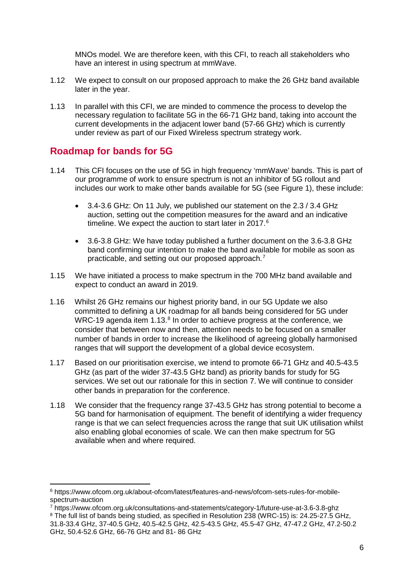MNOs model. We are therefore keen, with this CFI, to reach all stakeholders who have an interest in using spectrum at mmWave.

- 1.12 We expect to consult on our proposed approach to make the 26 GHz band available later in the year.
- 1.13 In parallel with this CFI, we are minded to commence the process to develop the necessary regulation to facilitate 5G in the 66-71 GHz band, taking into account the current developments in the adjacent lower band (57-66 GHz) which is currently under review as part of our Fixed Wireless spectrum strategy work.

## **Roadmap for bands for 5G**

 $\overline{a}$ 

- 1.14 This CFI focuses on the use of 5G in high frequency 'mmWave' bands. This is part of our programme of work to ensure spectrum is not an inhibitor of 5G rollout and includes our work to make other bands available for 5G (see Figure 1), these include:
	- 3.4-3.6 GHz: On 11 July, we published our statement on the 2.3 / 3.4 GHz auction, setting out the competition measures for the award and an indicative timeline. We expect the auction to start later in 2017.<sup>[6](#page-6-0)</sup>
	- 3.6-3.8 GHz: We have today published a further document on the 3.6-3.8 GHz band confirming our intention to make the band available for mobile as soon as practicable, and setting out our proposed approach.[7](#page-6-1)
- 1.15 We have initiated a process to make spectrum in the 700 MHz band available and expect to conduct an award in 2019.
- 1.16 Whilst 26 GHz remains our highest priority band, in our 5G Update we also committed to defining a UK roadmap for all bands being considered for 5G under WRC-19 agenda item 1.13.<sup>[8](#page-6-2)</sup> In order to achieve progress at the conference, we consider that between now and then, attention needs to be focused on a smaller number of bands in order to increase the likelihood of agreeing globally harmonised ranges that will support the development of a global device ecosystem.
- 1.17 Based on our prioritisation exercise, we intend to promote 66-71 GHz and 40.5-43.5 GHz (as part of the wider 37-43.5 GHz band) as priority bands for study for 5G services. We set out our rationale for this in section 7. We will continue to consider other bands in preparation for the conference.
- 1.18 We consider that the frequency range 37-43.5 GHz has strong potential to become a 5G band for harmonisation of equipment. The benefit of identifying a wider frequency range is that we can select frequencies across the range that suit UK utilisation whilst also enabling global economies of scale. We can then make spectrum for 5G available when and where required.

<span id="page-6-0"></span><sup>6</sup> https://www.ofcom.org.uk/about-ofcom/latest/features-and-news/ofcom-sets-rules-for-mobilespectrum-auction

<span id="page-6-1"></span><sup>7</sup> <https://www.ofcom.org.uk/consultations-and-statements/category-1/future-use-at-3.6-3.8-ghz>

<span id="page-6-2"></span><sup>&</sup>lt;sup>8</sup> The full list of bands being studied, as specified in Resolution 238 (WRC-15) is: 24.25-27.5 GHz, 31.8-33.4 GHz, 37-40.5 GHz, 40.5-42.5 GHz, 42.5-43.5 GHz, 45.5-47 GHz, 47-47.2 GHz, 47.2-50.2 GHz, 50.4-52.6 GHz, 66-76 GHz and 81- 86 GHz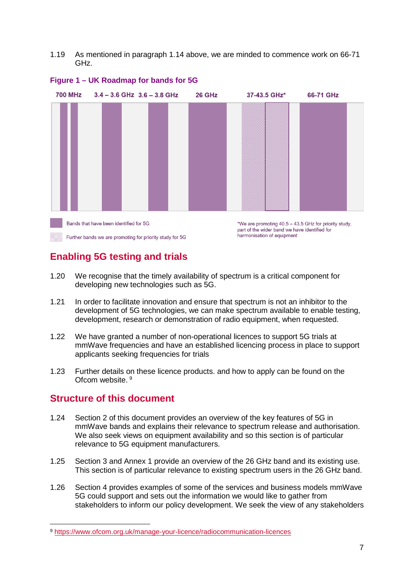1.19 As mentioned in paragraph 1.14 above, we are minded to commence work on 66-71 GHz.



harmonisation of equipment

#### **Figure 1 – UK Roadmap for bands for 5G**

**Enabling 5G testing and trials**

Further bands we are promoting for priority study for 5G

- 1.20 We recognise that the timely availability of spectrum is a critical component for developing new technologies such as 5G.
- 1.21 In order to facilitate innovation and ensure that spectrum is not an inhibitor to the development of 5G technologies, we can make spectrum available to enable testing, development, research or demonstration of radio equipment, when requested.
- 1.22 We have granted a number of non-operational licences to support 5G trials at mmWave frequencies and have an established licencing process in place to support applicants seeking frequencies for trials
- 1.23 Further details on these licence products. and how to apply can be found on the Ofcom website. [9](#page-7-0)

## **Structure of this document**

**.** 

- 1.24 Section 2 of this document provides an overview of the key features of 5G in mmWave bands and explains their relevance to spectrum release and authorisation. We also seek views on equipment availability and so this section is of particular relevance to 5G equipment manufacturers.
- 1.25 Section 3 and Annex 1 provide an overview of the 26 GHz band and its existing use. This section is of particular relevance to existing spectrum users in the 26 GHz band.
- 1.26 Section 4 provides examples of some of the services and business models mmWave 5G could support and sets out the information we would like to gather from stakeholders to inform our policy development. We seek the view of any stakeholders

<span id="page-7-0"></span><sup>9</sup> <https://www.ofcom.org.uk/manage-your-licence/radiocommunication-licences>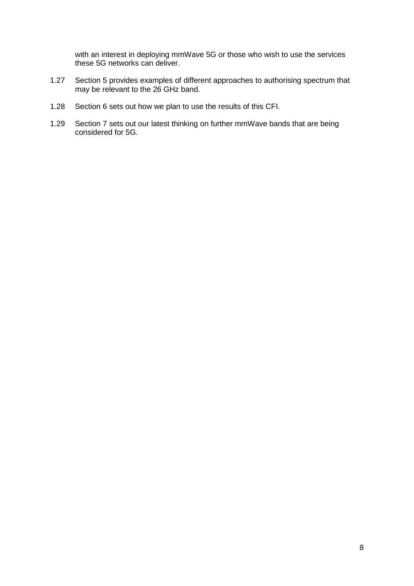with an interest in deploying mmWave 5G or those who wish to use the services these 5G networks can deliver.

- 1.27 Section 5 provides examples of different approaches to authorising spectrum that may be relevant to the 26 GHz band.
- 1.28 Section 6 sets out how we plan to use the results of this CFI.
- 1.29 Section 7 sets out our latest thinking on further mmWave bands that are being considered for 5G.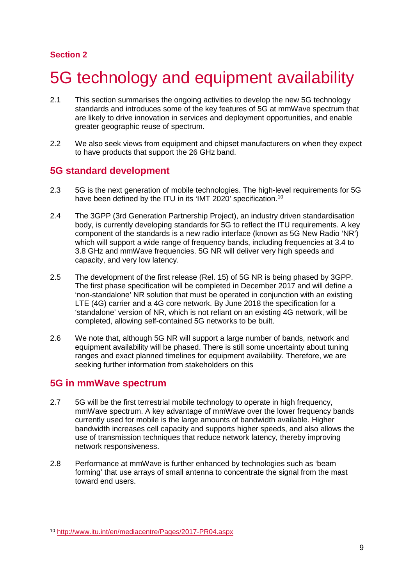#### **Section 2**

# <span id="page-9-0"></span>5G technology and equipment availability

- 2.1 This section summarises the ongoing activities to develop the new 5G technology standards and introduces some of the key features of 5G at mmWave spectrum that are likely to drive innovation in services and deployment opportunities, and enable greater geographic reuse of spectrum.
- 2.2 We also seek views from equipment and chipset manufacturers on when they expect to have products that support the 26 GHz band.

## **5G standard development**

- 2.3 5G is the next generation of mobile technologies. The high-level requirements for 5G have been defined by the ITU in its 'IMT 2020' specification.<sup>[10](#page-9-1)</sup>
- 2.4 The 3GPP (3rd Generation Partnership Project), an industry driven standardisation body, is currently developing standards for 5G to reflect the ITU requirements. A key component of the standards is a new radio interface (known as 5G New Radio 'NR') which will support a wide range of frequency bands, including frequencies at 3.4 to 3.8 GHz and mmWave frequencies. 5G NR will deliver very high speeds and capacity, and very low latency.
- 2.5 The development of the first release (Rel. 15) of 5G NR is being phased by 3GPP. The first phase specification will be completed in December 2017 and will define a 'non-standalone' NR solution that must be operated in conjunction with an existing LTE (4G) carrier and a 4G core network. By June 2018 the specification for a 'standalone' version of NR, which is not reliant on an existing 4G network, will be completed, allowing self-contained 5G networks to be built.
- 2.6 We note that, although 5G NR will support a large number of bands, network and equipment availability will be phased. There is still some uncertainty about tuning ranges and exact planned timelines for equipment availability. Therefore, we are seeking further information from stakeholders on this

## **5G in mmWave spectrum**

**.** 

- 2.7 5G will be the first terrestrial mobile technology to operate in high frequency, mmWave spectrum. A key advantage of mmWave over the lower frequency bands currently used for mobile is the large amounts of bandwidth available. Higher bandwidth increases cell capacity and supports higher speeds, and also allows the use of transmission techniques that reduce network latency, thereby improving network responsiveness.
- 2.8 Performance at mmWave is further enhanced by technologies such as 'beam forming' that use arrays of small antenna to concentrate the signal from the mast toward end users.

<span id="page-9-1"></span><sup>10</sup> <http://www.itu.int/en/mediacentre/Pages/2017-PR04.aspx>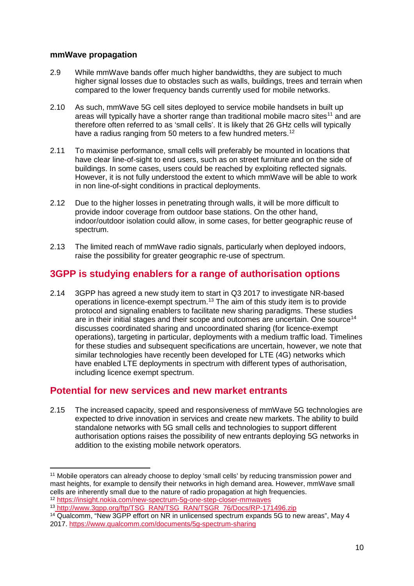#### **mmWave propagation**

- 2.9 While mmWave bands offer much higher bandwidths, they are subject to much higher signal losses due to obstacles such as walls, buildings, trees and terrain when compared to the lower frequency bands currently used for mobile networks.
- 2.10 As such, mmWave 5G cell sites deployed to service mobile handsets in built up areas will typically have a shorter range than traditional mobile macro sites<sup>[11](#page-10-0)</sup> and are therefore often referred to as 'small cells'. It is likely that 26 GHz cells will typically have a radius ranging from 50 meters to a few hundred meters.<sup>[12](#page-10-1)</sup>
- 2.11 To maximise performance, small cells will preferably be mounted in locations that have clear line-of-sight to end users, such as on street furniture and on the side of buildings. In some cases, users could be reached by exploiting reflected signals. However, it is not fully understood the extent to which mmWave will be able to work in non line-of-sight conditions in practical deployments.
- 2.12 Due to the higher losses in penetrating through walls, it will be more difficult to provide indoor coverage from outdoor base stations. On the other hand, indoor/outdoor isolation could allow, in some cases, for better geographic reuse of spectrum.
- 2.13 The limited reach of mmWave radio signals, particularly when deployed indoors, raise the possibility for greater geographic re-use of spectrum.

## **3GPP is studying enablers for a range of authorisation options**

2.14 3GPP has agreed a new study item to start in Q3 2017 to investigate NR-based operations in licence-exempt spectrum. [13](#page-10-2) The aim of this study item is to provide protocol and signaling enablers to facilitate new sharing paradigms. These studies are in their initial stages and their scope and outcomes are uncertain. One source<sup>[14](#page-10-3)</sup> discusses coordinated sharing and uncoordinated sharing (for licence-exempt operations), targeting in particular, deployments with a medium traffic load. Timelines for these studies and subsequent specifications are uncertain, however, we note that similar technologies have recently been developed for LTE (4G) networks which have enabled LTE deployments in spectrum with different types of authorisation, including licence exempt spectrum.

## **Potential for new services and new market entrants**

2.15 The increased capacity, speed and responsiveness of mmWave 5G technologies are expected to drive innovation in services and create new markets. The ability to build standalone networks with 5G small cells and technologies to support different authorisation options raises the possibility of new entrants deploying 5G networks in addition to the existing mobile network operators.

<u>.</u>

<span id="page-10-0"></span><sup>&</sup>lt;sup>11</sup> Mobile operators can already choose to deploy 'small cells' by reducing transmission power and mast heights, for example to densify their networks in high demand area. However, mmWave small cells are inherently small due to the nature of radio propagation at high frequencies.

<span id="page-10-1"></span><sup>12</sup> <https://insight.nokia.com/new-spectrum-5g-one-step-closer-mmwaves>

<span id="page-10-2"></span><sup>13</sup> [http://www.3gpp.org/ftp/TSG\\_RAN/TSG\\_RAN/TSGR\\_76/Docs/RP-171496.zip](http://www.3gpp.org/ftp/TSG_RAN/TSG_RAN/TSGR_76/Docs/RP-171496.zip)

<span id="page-10-3"></span><sup>14</sup> Qualcomm, "New 3GPP effort on NR in unlicensed spectrum expands 5G to new areas", May 4 2017.<https://www.qualcomm.com/documents/5g-spectrum-sharing>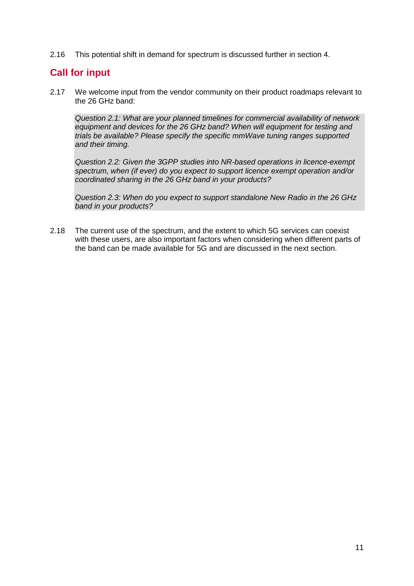2.16 This potential shift in demand for spectrum is discussed further in section 4.

## **Call for input**

2.17 We welcome input from the vendor community on their product roadmaps relevant to the 26 GHz band:

*Question 2.1: What are your planned timelines for commercial availability of network equipment and devices for the 26 GHz band? When will equipment for testing and trials be available? Please specify the specific mmWave tuning ranges supported and their timing.*

*Question 2.2: Given the 3GPP studies into NR-based operations in licence-exempt spectrum, when (if ever) do you expect to support licence exempt operation and/or coordinated sharing in the 26 GHz band in your products?* 

*Question 2.3: When do you expect to support standalone New Radio in the 26 GHz band in your products?* 

2.18 The current use of the spectrum, and the extent to which 5G services can coexist with these users, are also important factors when considering when different parts of the band can be made available for 5G and are discussed in the next section.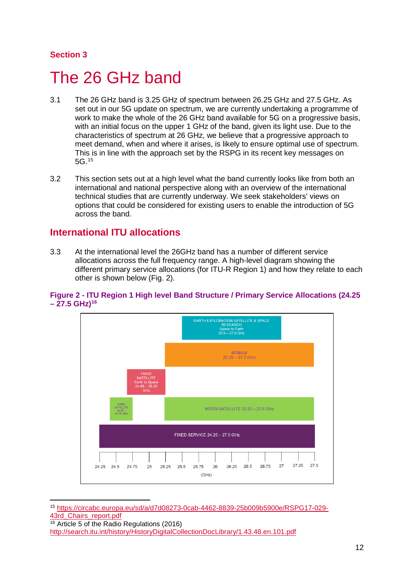#### **Section 3**

<u>.</u>

## <span id="page-12-0"></span>The 26 GHz band

- 3.1 The 26 GHz band is 3.25 GHz of spectrum between 26.25 GHz and 27.5 GHz. As set out in our 5G update on spectrum, we are currently undertaking a programme of work to make the whole of the 26 GHz band available for 5G on a progressive basis, with an initial focus on the upper 1 GHz of the band, given its light use. Due to the characteristics of spectrum at 26 GHz, we believe that a progressive approach to meet demand, when and where it arises, is likely to ensure optimal use of spectrum. This is in line with the approach set by the RSPG in its recent key messages on 5G.[15](#page-12-1)
- 3.2 This section sets out at a high level what the band currently looks like from both an international and national perspective along with an overview of the international technical studies that are currently underway. We seek stakeholders' views on options that could be considered for existing users to enable the introduction of 5G across the band.

### **International ITU allocations**

3.3 At the international level the 26GHz band has a number of different service allocations across the full frequency range. A high-level diagram showing the different primary service allocations (for ITU-R Region 1) and how they relate to each other is shown below (Fig. 2).

#### **Figure 2 - ITU Region 1 High level Band Structure / Primary Service Allocations (24.25 – 27.5 GHz)[16](#page-12-2)**



<span id="page-12-1"></span><sup>15</sup> [https://circabc.europa.eu/sd/a/d7d08273-0cab-4462-8839-25b009b5900e/RSPG17-029-](https://circabc.europa.eu/sd/a/d7d08273-0cab-4462-8839-25b009b5900e/RSPG17-029-43rd_Chairs_report.pdf) [43rd\\_Chairs\\_report.pdf](https://circabc.europa.eu/sd/a/d7d08273-0cab-4462-8839-25b009b5900e/RSPG17-029-43rd_Chairs_report.pdf)

<span id="page-12-2"></span><sup>16</sup> Article 5 of the Radio Regulations (2016) <http://search.itu.int/history/HistoryDigitalCollectionDocLibrary/1.43.48.en.101.pdf>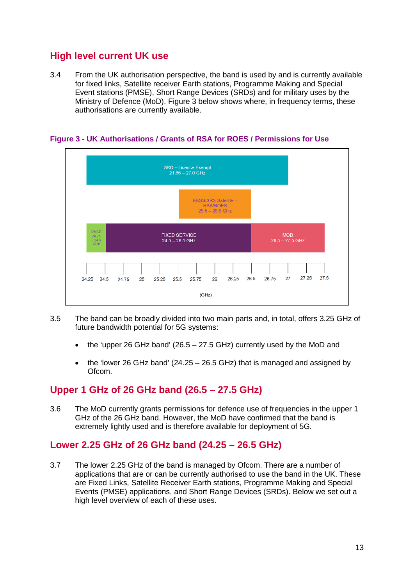## **High level current UK use**

3.4 From the UK authorisation perspective, the band is used by and is currently available for fixed links, Satellite receiver Earth stations, Programme Making and Special Event stations (PMSE), Short Range Devices (SRDs) and for military uses by the Ministry of Defence (MoD). Figure 3 below shows where, in frequency terms, these authorisations are currently available.



**Figure 3 - UK Authorisations / Grants of RSA for ROES / Permissions for Use**

- 3.5 The band can be broadly divided into two main parts and, in total, offers 3.25 GHz of future bandwidth potential for 5G systems:
	- the 'upper 26 GHz band' (26.5  $-$  27.5 GHz) currently used by the MoD and
	- the 'lower 26 GHz band' (24.25 26.5 GHz) that is managed and assigned by Ofcom.

## **Upper 1 GHz of 26 GHz band (26.5 – 27.5 GHz)**

3.6 The MoD currently grants permissions for defence use of frequencies in the upper 1 GHz of the 26 GHz band. However, the MoD have confirmed that the band is extremely lightly used and is therefore available for deployment of 5G.

## **Lower 2.25 GHz of 26 GHz band (24.25 – 26.5 GHz)**

3.7 The lower 2.25 GHz of the band is managed by Ofcom. There are a number of applications that are or can be currently authorised to use the band in the UK. These are Fixed Links, Satellite Receiver Earth stations, Programme Making and Special Events (PMSE) applications, and Short Range Devices (SRDs). Below we set out a high level overview of each of these uses.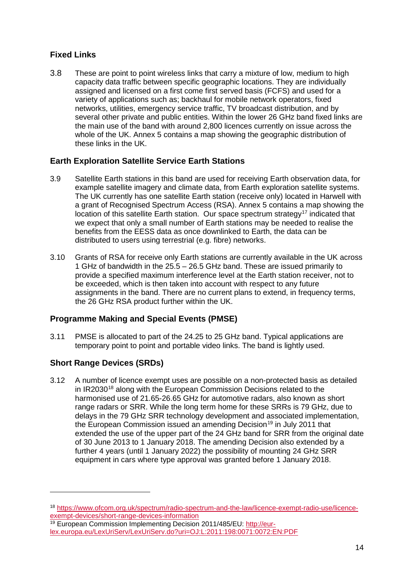### **Fixed Links**

3.8 These are point to point wireless links that carry a mixture of low, medium to high capacity data traffic between specific geographic locations. They are individually assigned and licensed on a first come first served basis (FCFS) and used for a variety of applications such as; backhaul for mobile network operators, fixed networks, utilities, emergency service traffic, TV broadcast distribution, and by several other private and public entities. Within the lower 26 GHz band fixed links are the main use of the band with around 2,800 licences currently on issue across the whole of the UK. Annex 5 contains a map showing the geographic distribution of these links in the UK.

#### **Earth Exploration Satellite Service Earth Stations**

- 3.9 Satellite Earth stations in this band are used for receiving Earth observation data, for example satellite imagery and climate data, from Earth exploration satellite systems. The UK currently has one satellite Earth station (receive only) located in Harwell with a grant of Recognised Spectrum Access (RSA). Annex 5 contains a map showing the location of this satellite Earth station. Our space spectrum strategy<sup>17</sup> indicated that we expect that only a small number of Earth stations may be needed to realise the benefits from the EESS data as once downlinked to Earth, the data can be distributed to users using terrestrial (e.g. fibre) networks.
- 3.10 Grants of RSA for receive only Earth stations are currently available in the UK across 1 GHz of bandwidth in the 25.5 – 26.5 GHz band. These are issued primarily to provide a specified maximum interference level at the Earth station receiver, not to be exceeded, which is then taken into account with respect to any future assignments in the band. There are no current plans to extend, in frequency terms, the 26 GHz RSA product further within the UK.

#### **Programme Making and Special Events (PMSE)**

3.11 PMSE is allocated to part of the 24.25 to 25 GHz band. Typical applications are temporary point to point and portable video links. The band is lightly used.

## **Short Range Devices (SRDs)**

 $\overline{a}$ 

3.12 A number of licence exempt uses are possible on a non-protected basis as detailed in IR2030[18](#page-14-1) along with the European Commission Decisions related to the harmonised use of 21.65-26.65 GHz for automotive radars, also known as short range radars or SRR. While the long term home for these SRRs is 79 GHz, due to delays in the 79 GHz SRR technology development and associated implementation, the European Commission issued an amending Decision<sup>[19](#page-14-2)</sup> in July 2011 that extended the use of the upper part of the 24 GHz band for SRR from the original date of 30 June 2013 to 1 January 2018. The amending Decision also extended by a further 4 years (until 1 January 2022) the possibility of mounting 24 GHz SRR equipment in cars where type approval was granted before 1 January 2018.

<span id="page-14-1"></span><span id="page-14-0"></span><sup>18</sup> [https://www.ofcom.org.uk/spectrum/radio-spectrum-and-the-law/licence-exempt-radio-use/licence](https://www.ofcom.org.uk/spectrum/radio-spectrum-and-the-law/licence-exempt-radio-use/licence-exempt-devices/short-range-devices-information)[exempt-devices/short-range-devices-information](https://www.ofcom.org.uk/spectrum/radio-spectrum-and-the-law/licence-exempt-radio-use/licence-exempt-devices/short-range-devices-information)

<span id="page-14-2"></span><sup>19</sup> European Commission Implementing Decision 2011/485/EU: [http://eur](http://eur-lex.europa.eu/LexUriServ/LexUriServ.do?uri=OJ:L:2011:198:0071:0072:EN:PDF)[lex.europa.eu/LexUriServ/LexUriServ.do?uri=OJ:L:2011:198:0071:0072:EN:PDF](http://eur-lex.europa.eu/LexUriServ/LexUriServ.do?uri=OJ:L:2011:198:0071:0072:EN:PDF)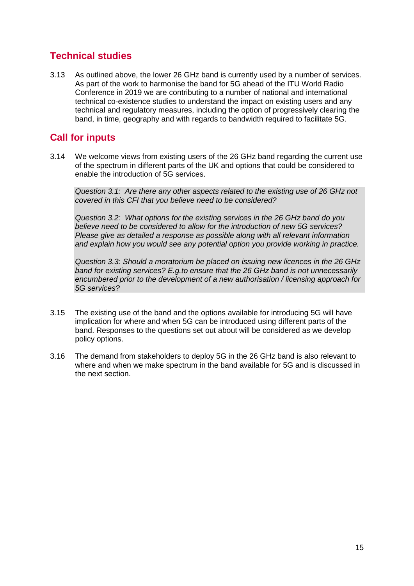## **Technical studies**

3.13 As outlined above, the lower 26 GHz band is currently used by a number of services. As part of the work to harmonise the band for 5G ahead of the ITU World Radio Conference in 2019 we are contributing to a number of national and international technical co-existence studies to understand the impact on existing users and any technical and regulatory measures, including the option of progressively clearing the band, in time, geography and with regards to bandwidth required to facilitate 5G.

## **Call for inputs**

3.14 We welcome views from existing users of the 26 GHz band regarding the current use of the spectrum in different parts of the UK and options that could be considered to enable the introduction of 5G services.

*Question 3.1: Are there any other aspects related to the existing use of 26 GHz not covered in this CFI that you believe need to be considered?*

*Question 3.2: What options for the existing services in the 26 GHz band do you believe need to be considered to allow for the introduction of new 5G services? Please give as detailed a response as possible along with all relevant information and explain how you would see any potential option you provide working in practice.* 

*Question 3.3: Should a moratorium be placed on issuing new licences in the 26 GHz band for existing services? E.g.to ensure that the 26 GHz band is not unnecessarily encumbered prior to the development of a new authorisation / licensing approach for 5G services?* 

- 3.15 The existing use of the band and the options available for introducing 5G will have implication for where and when 5G can be introduced using different parts of the band. Responses to the questions set out about will be considered as we develop policy options.
- 3.16 The demand from stakeholders to deploy 5G in the 26 GHz band is also relevant to where and when we make spectrum in the band available for 5G and is discussed in the next section.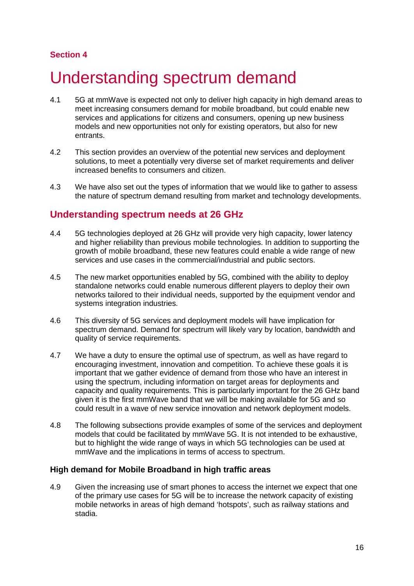### **Section 4**

# <span id="page-16-0"></span>Understanding spectrum demand

- 4.1 5G at mmWave is expected not only to deliver high capacity in high demand areas to meet increasing consumers demand for mobile broadband, but could enable new services and applications for citizens and consumers, opening up new business models and new opportunities not only for existing operators, but also for new entrants.
- 4.2 This section provides an overview of the potential new services and deployment solutions, to meet a potentially very diverse set of market requirements and deliver increased benefits to consumers and citizen.
- 4.3 We have also set out the types of information that we would like to gather to assess the nature of spectrum demand resulting from market and technology developments.

## **Understanding spectrum needs at 26 GHz**

- 4.4 5G technologies deployed at 26 GHz will provide very high capacity, lower latency and higher reliability than previous mobile technologies. In addition to supporting the growth of mobile broadband, these new features could enable a wide range of new services and use cases in the commercial/industrial and public sectors.
- 4.5 The new market opportunities enabled by 5G, combined with the ability to deploy standalone networks could enable numerous different players to deploy their own networks tailored to their individual needs, supported by the equipment vendor and systems integration industries.
- 4.6 This diversity of 5G services and deployment models will have implication for spectrum demand. Demand for spectrum will likely vary by location, bandwidth and quality of service requirements.
- 4.7 We have a duty to ensure the optimal use of spectrum, as well as have regard to encouraging investment, innovation and competition. To achieve these goals it is important that we gather evidence of demand from those who have an interest in using the spectrum, including information on target areas for deployments and capacity and quality requirements. This is particularly important for the 26 GHz band given it is the first mmWave band that we will be making available for 5G and so could result in a wave of new service innovation and network deployment models.
- 4.8 The following subsections provide examples of some of the services and deployment models that could be facilitated by mmWave 5G. It is not intended to be exhaustive, but to highlight the wide range of ways in which 5G technologies can be used at mmWave and the implications in terms of access to spectrum.

#### **High demand for Mobile Broadband in high traffic areas**

4.9 Given the increasing use of smart phones to access the internet we expect that one of the primary use cases for 5G will be to increase the network capacity of existing mobile networks in areas of high demand 'hotspots', such as railway stations and stadia.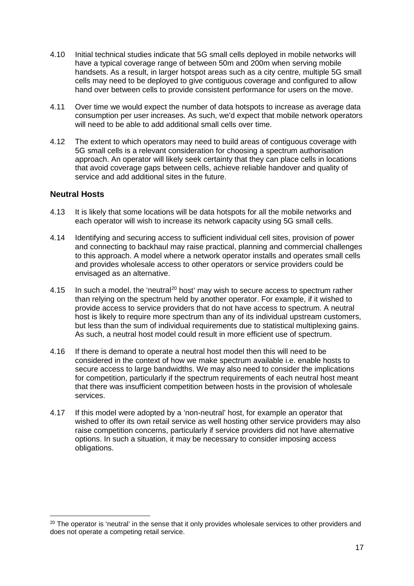- 4.10 Initial technical studies indicate that 5G small cells deployed in mobile networks will have a typical coverage range of between 50m and 200m when serving mobile handsets. As a result, in larger hotspot areas such as a city centre, multiple 5G small cells may need to be deployed to give contiguous coverage and configured to allow hand over between cells to provide consistent performance for users on the move.
- 4.11 Over time we would expect the number of data hotspots to increase as average data consumption per user increases. As such, we'd expect that mobile network operators will need to be able to add additional small cells over time.
- 4.12 The extent to which operators may need to build areas of contiguous coverage with 5G small cells is a relevant consideration for choosing a spectrum authorisation approach. An operator will likely seek certainty that they can place cells in locations that avoid coverage gaps between cells, achieve reliable handover and quality of service and add additional sites in the future.

#### **Neutral Hosts**

 $\overline{a}$ 

- 4.13 It is likely that some locations will be data hotspots for all the mobile networks and each operator will wish to increase its network capacity using 5G small cells.
- 4.14 Identifying and securing access to sufficient individual cell sites, provision of power and connecting to backhaul may raise practical, planning and commercial challenges to this approach. A model where a network operator installs and operates small cells and provides wholesale access to other operators or service providers could be envisaged as an alternative.
- 4.15 In such a model, the 'neutral<sup>[20](#page-17-0)</sup> host' may wish to secure access to spectrum rather than relying on the spectrum held by another operator. For example, if it wished to provide access to service providers that do not have access to spectrum. A neutral host is likely to require more spectrum than any of its individual upstream customers, but less than the sum of individual requirements due to statistical multiplexing gains. As such, a neutral host model could result in more efficient use of spectrum.
- 4.16 If there is demand to operate a neutral host model then this will need to be considered in the context of how we make spectrum available i.e. enable hosts to secure access to large bandwidths. We may also need to consider the implications for competition, particularly if the spectrum requirements of each neutral host meant that there was insufficient competition between hosts in the provision of wholesale services.
- 4.17 If this model were adopted by a 'non-neutral' host, for example an operator that wished to offer its own retail service as well hosting other service providers may also raise competition concerns, particularly if service providers did not have alternative options. In such a situation, it may be necessary to consider imposing access obligations.

<span id="page-17-0"></span><sup>&</sup>lt;sup>20</sup> The operator is 'neutral' in the sense that it only provides wholesale services to other providers and does not operate a competing retail service.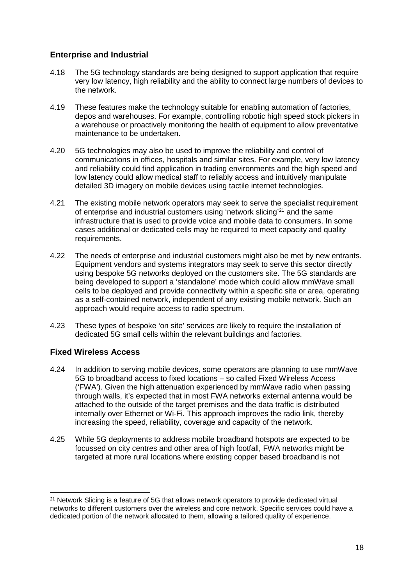#### **Enterprise and Industrial**

- 4.18 The 5G technology standards are being designed to support application that require very low latency, high reliability and the ability to connect large numbers of devices to the network.
- 4.19 These features make the technology suitable for enabling automation of factories, depos and warehouses. For example, controlling robotic high speed stock pickers in a warehouse or proactively monitoring the health of equipment to allow preventative maintenance to be undertaken.
- 4.20 5G technologies may also be used to improve the reliability and control of communications in offices, hospitals and similar sites. For example, very low latency and reliability could find application in trading environments and the high speed and low latency could allow medical staff to reliably access and intuitively manipulate detailed 3D imagery on mobile devices using tactile internet technologies.
- 4.21 The existing mobile network operators may seek to serve the specialist requirement of enterprise and industrial customers using 'network slicing'<sup>[21](#page-18-0)</sup> and the same infrastructure that is used to provide voice and mobile data to consumers. In some cases additional or dedicated cells may be required to meet capacity and quality requirements.
- 4.22 The needs of enterprise and industrial customers might also be met by new entrants. Equipment vendors and systems integrators may seek to serve this sector directly using bespoke 5G networks deployed on the customers site. The 5G standards are being developed to support a 'standalone' mode which could allow mmWave small cells to be deployed and provide connectivity within a specific site or area, operating as a self-contained network, independent of any existing mobile network. Such an approach would require access to radio spectrum.
- 4.23 These types of bespoke 'on site' services are likely to require the installation of dedicated 5G small cells within the relevant buildings and factories.

#### **Fixed Wireless Access**

 $\overline{a}$ 

- 4.24 In addition to serving mobile devices, some operators are planning to use mmWave 5G to broadband access to fixed locations – so called Fixed Wireless Access ('FWA'). Given the high attenuation experienced by mmWave radio when passing through walls, it's expected that in most FWA networks external antenna would be attached to the outside of the target premises and the data traffic is distributed internally over Ethernet or Wi-Fi. This approach improves the radio link, thereby increasing the speed, reliability, coverage and capacity of the network.
- 4.25 While 5G deployments to address mobile broadband hotspots are expected to be focussed on city centres and other area of high footfall, FWA networks might be targeted at more rural locations where existing copper based broadband is not

<span id="page-18-0"></span><sup>&</sup>lt;sup>21</sup> Network Slicing is a feature of 5G that allows network operators to provide dedicated virtual networks to different customers over the wireless and core network. Specific services could have a dedicated portion of the network allocated to them, allowing a tailored quality of experience.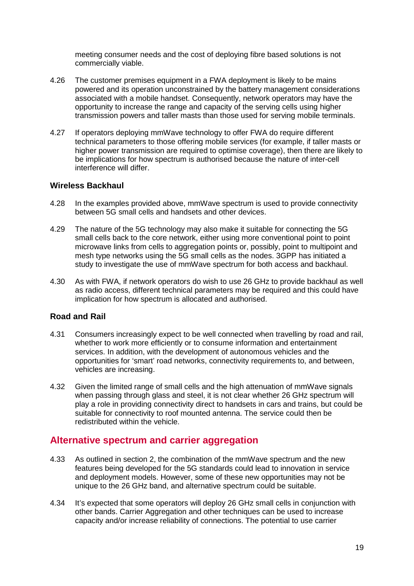meeting consumer needs and the cost of deploying fibre based solutions is not commercially viable.

- 4.26 The customer premises equipment in a FWA deployment is likely to be mains powered and its operation unconstrained by the battery management considerations associated with a mobile handset. Consequently, network operators may have the opportunity to increase the range and capacity of the serving cells using higher transmission powers and taller masts than those used for serving mobile terminals.
- 4.27 If operators deploying mmWave technology to offer FWA do require different technical parameters to those offering mobile services (for example, if taller masts or higher power transmission are required to optimise coverage), then there are likely to be implications for how spectrum is authorised because the nature of inter-cell interference will differ.

#### **Wireless Backhaul**

- 4.28 In the examples provided above, mmWave spectrum is used to provide connectivity between 5G small cells and handsets and other devices.
- 4.29 The nature of the 5G technology may also make it suitable for connecting the 5G small cells back to the core network, either using more conventional point to point microwave links from cells to aggregation points or, possibly, point to multipoint and mesh type networks using the 5G small cells as the nodes. 3GPP has initiated a study to investigate the use of mmWave spectrum for both access and backhaul.
- 4.30 As with FWA, if network operators do wish to use 26 GHz to provide backhaul as well as radio access, different technical parameters may be required and this could have implication for how spectrum is allocated and authorised.

#### **Road and Rail**

- 4.31 Consumers increasingly expect to be well connected when travelling by road and rail, whether to work more efficiently or to consume information and entertainment services. In addition, with the development of autonomous vehicles and the opportunities for 'smart' road networks, connectivity requirements to, and between, vehicles are increasing.
- 4.32 Given the limited range of small cells and the high attenuation of mmWave signals when passing through glass and steel, it is not clear whether 26 GHz spectrum will play a role in providing connectivity direct to handsets in cars and trains, but could be suitable for connectivity to roof mounted antenna. The service could then be redistributed within the vehicle.

## **Alternative spectrum and carrier aggregation**

- 4.33 As outlined in section 2, the combination of the mmWave spectrum and the new features being developed for the 5G standards could lead to innovation in service and deployment models. However, some of these new opportunities may not be unique to the 26 GHz band, and alternative spectrum could be suitable.
- 4.34 It's expected that some operators will deploy 26 GHz small cells in conjunction with other bands. Carrier Aggregation and other techniques can be used to increase capacity and/or increase reliability of connections. The potential to use carrier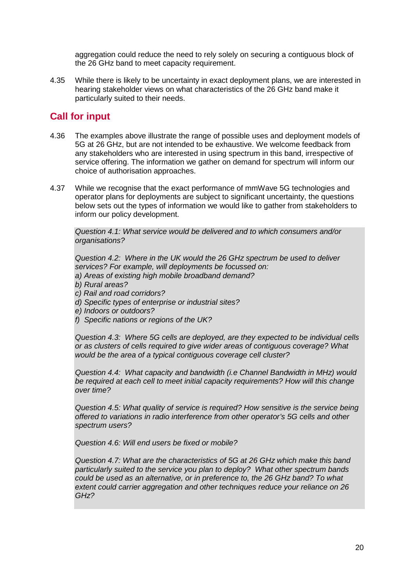aggregation could reduce the need to rely solely on securing a contiguous block of the 26 GHz band to meet capacity requirement.

4.35 While there is likely to be uncertainty in exact deployment plans, we are interested in hearing stakeholder views on what characteristics of the 26 GHz band make it particularly suited to their needs.

## **Call for input**

- 4.36 The examples above illustrate the range of possible uses and deployment models of 5G at 26 GHz, but are not intended to be exhaustive. We welcome feedback from any stakeholders who are interested in using spectrum in this band, irrespective of service offering. The information we gather on demand for spectrum will inform our choice of authorisation approaches.
- 4.37 While we recognise that the exact performance of mmWave 5G technologies and operator plans for deployments are subject to significant uncertainty, the questions below sets out the types of information we would like to gather from stakeholders to inform our policy development.

*Question 4.1: What service would be delivered and to which consumers and/or organisations?*

*Question 4.2: Where in the UK would the 26 GHz spectrum be used to deliver services? For example, will deployments be focussed on: a) Areas of existing high mobile broadband demand?*

- *b) Rural areas?*
- *c) Rail and road corridors?*
- *d) Specific types of enterprise or industrial sites?*
- *e) Indoors or outdoors?*
- *f) Specific nations or regions of the UK?*

*Question 4.3: Where 5G cells are deployed, are they expected to be individual cells or as clusters of cells required to give wider areas of contiguous coverage? What would be the area of a typical contiguous coverage cell cluster?*

*Question 4.4: What capacity and bandwidth (i.e Channel Bandwidth in MHz) would*  be required at each cell to meet initial capacity requirements? How will this change *over time?* 

*Question 4.5: What quality of service is required? How sensitive is the service being offered to variations in radio interference from other operator's 5G cells and other spectrum users?*

*Question 4.6: Will end users be fixed or mobile?*

*Question 4.7: What are the characteristics of 5G at 26 GHz which make this band particularly suited to the service you plan to deploy? What other spectrum bands could be used as an alternative, or in preference to, the 26 GHz band? To what extent could carrier aggregation and other techniques reduce your reliance on 26 GHz?*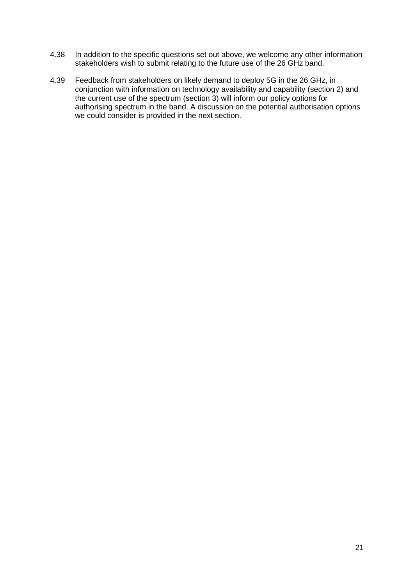- 4.38 In addition to the specific questions set out above, we welcome any other information stakeholders wish to submit relating to the future use of the 26 GHz band.
- 4.39 Feedback from stakeholders on likely demand to deploy 5G in the 26 GHz, in conjunction with information on technology availability and capability (section 2) and the current use of the spectrum (section 3) will inform our policy options for authorising spectrum in the band. A discussion on the potential authorisation options we could consider is provided in the next section.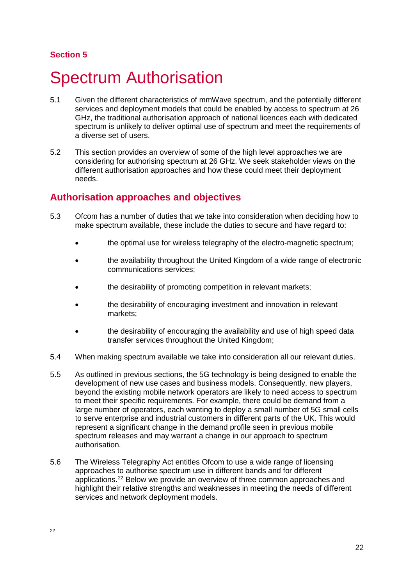#### **Section 5**

# <span id="page-22-0"></span>5 Spectrum Authorisation

- 5.1 Given the different characteristics of mmWave spectrum, and the potentially different services and deployment models that could be enabled by access to spectrum at 26 GHz, the traditional authorisation approach of national licences each with dedicated spectrum is unlikely to deliver optimal use of spectrum and meet the requirements of a diverse set of users.
- 5.2 This section provides an overview of some of the high level approaches we are considering for authorising spectrum at 26 GHz. We seek stakeholder views on the different authorisation approaches and how these could meet their deployment needs.

## **Authorisation approaches and objectives**

- 5.3 Ofcom has a number of duties that we take into consideration when deciding how to make spectrum available, these include the duties to secure and have regard to:
	- the optimal use for wireless telegraphy of the electro-magnetic spectrum;
	- the availability throughout the United Kingdom of a wide range of electronic communications services;
	- the desirability of promoting competition in relevant markets;
	- the desirability of encouraging investment and innovation in relevant markets;
	- the desirability of encouraging the availability and use of high speed data transfer services throughout the United Kingdom;
- 5.4 When making spectrum available we take into consideration all our relevant duties.
- 5.5 As outlined in previous sections, the 5G technology is being designed to enable the development of new use cases and business models. Consequently, new players, beyond the existing mobile network operators are likely to need access to spectrum to meet their specific requirements. For example, there could be demand from a large number of operators, each wanting to deploy a small number of 5G small cells to serve enterprise and industrial customers in different parts of the UK. This would represent a significant change in the demand profile seen in previous mobile spectrum releases and may warrant a change in our approach to spectrum authorisation.
- 5.6 The Wireless Telegraphy Act entitles Ofcom to use a wide range of licensing approaches to authorise spectrum use in different bands and for different applications.[22](#page-22-1) Below we provide an overview of three common approaches and highlight their relative strengths and weaknesses in meeting the needs of different services and network deployment models.

<span id="page-22-1"></span>**<sup>.</sup>** 22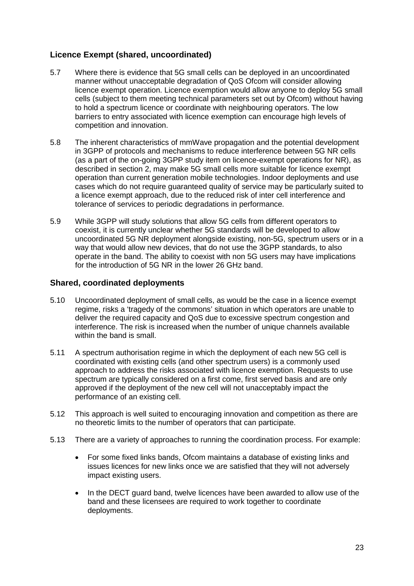#### **Licence Exempt (shared, uncoordinated)**

- 5.7 Where there is evidence that 5G small cells can be deployed in an uncoordinated manner without unacceptable degradation of QoS Ofcom will consider allowing licence exempt operation. Licence exemption would allow anyone to deploy 5G small cells (subject to them meeting technical parameters set out by Ofcom) without having to hold a spectrum licence or coordinate with neighbouring operators. The low barriers to entry associated with licence exemption can encourage high levels of competition and innovation.
- 5.8 The inherent characteristics of mmWave propagation and the potential development in 3GPP of protocols and mechanisms to reduce interference between 5G NR cells (as a part of the on-going 3GPP study item on licence-exempt operations for NR), as described in section 2, may make 5G small cells more suitable for licence exempt operation than current generation mobile technologies. Indoor deployments and use cases which do not require guaranteed quality of service may be particularly suited to a licence exempt approach, due to the reduced risk of inter cell interference and tolerance of services to periodic degradations in performance.
- 5.9 While 3GPP will study solutions that allow 5G cells from different operators to coexist, it is currently unclear whether 5G standards will be developed to allow uncoordinated 5G NR deployment alongside existing, non-5G, spectrum users or in a way that would allow new devices, that do not use the 3GPP standards, to also operate in the band. The ability to coexist with non 5G users may have implications for the introduction of 5G NR in the lower 26 GHz band.

#### **Shared, coordinated deployments**

- 5.10 Uncoordinated deployment of small cells, as would be the case in a licence exempt regime, risks a 'tragedy of the commons' situation in which operators are unable to deliver the required capacity and QoS due to excessive spectrum congestion and interference. The risk is increased when the number of unique channels available within the band is small.
- 5.11 A spectrum authorisation regime in which the deployment of each new 5G cell is coordinated with existing cells (and other spectrum users) is a commonly used approach to address the risks associated with licence exemption. Requests to use spectrum are typically considered on a first come, first served basis and are only approved if the deployment of the new cell will not unacceptably impact the performance of an existing cell.
- 5.12 This approach is well suited to encouraging innovation and competition as there are no theoretic limits to the number of operators that can participate.
- 5.13 There are a variety of approaches to running the coordination process. For example:
	- For some fixed links bands, Ofcom maintains a database of existing links and issues licences for new links once we are satisfied that they will not adversely impact existing users.
	- In the DECT guard band, twelve licences have been awarded to allow use of the band and these licensees are required to work together to coordinate deployments.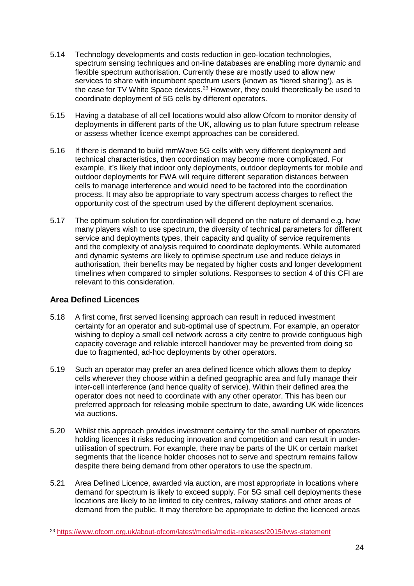- 5.14 Technology developments and costs reduction in geo-location technologies, spectrum sensing techniques and on-line databases are enabling more dynamic and flexible spectrum authorisation. Currently these are mostly used to allow new services to share with incumbent spectrum users (known as 'tiered sharing'), as is the case for TV White Space devices. [23](#page-24-0) However, they could theoretically be used to coordinate deployment of 5G cells by different operators.
- 5.15 Having a database of all cell locations would also allow Ofcom to monitor density of deployments in different parts of the UK, allowing us to plan future spectrum release or assess whether licence exempt approaches can be considered.
- 5.16 If there is demand to build mmWave 5G cells with very different deployment and technical characteristics, then coordination may become more complicated. For example, it's likely that indoor only deployments, outdoor deployments for mobile and outdoor deployments for FWA will require different separation distances between cells to manage interference and would need to be factored into the coordination process. It may also be appropriate to vary spectrum access charges to reflect the opportunity cost of the spectrum used by the different deployment scenarios.
- 5.17 The optimum solution for coordination will depend on the nature of demand e.g. how many players wish to use spectrum, the diversity of technical parameters for different service and deployments types, their capacity and quality of service requirements and the complexity of analysis required to coordinate deployments. While automated and dynamic systems are likely to optimise spectrum use and reduce delays in authorisation, their benefits may be negated by higher costs and longer development timelines when compared to simpler solutions. Responses to section 4 of this CFI are relevant to this consideration.

#### **Area Defined Licences**

**.** 

- 5.18 A first come, first served licensing approach can result in reduced investment certainty for an operator and sub-optimal use of spectrum. For example, an operator wishing to deploy a small cell network across a city centre to provide contiguous high capacity coverage and reliable intercell handover may be prevented from doing so due to fragmented, ad-hoc deployments by other operators.
- 5.19 Such an operator may prefer an area defined licence which allows them to deploy cells wherever they choose within a defined geographic area and fully manage their inter-cell interference (and hence quality of service). Within their defined area the operator does not need to coordinate with any other operator. This has been our preferred approach for releasing mobile spectrum to date, awarding UK wide licences via auctions.
- 5.20 Whilst this approach provides investment certainty for the small number of operators holding licences it risks reducing innovation and competition and can result in underutilisation of spectrum. For example, there may be parts of the UK or certain market segments that the licence holder chooses not to serve and spectrum remains fallow despite there being demand from other operators to use the spectrum.
- 5.21 Area Defined Licence, awarded via auction, are most appropriate in locations where demand for spectrum is likely to exceed supply. For 5G small cell deployments these locations are likely to be limited to city centres, railway stations and other areas of demand from the public. It may therefore be appropriate to define the licenced areas

<span id="page-24-0"></span><sup>23</sup> <https://www.ofcom.org.uk/about-ofcom/latest/media/media-releases/2015/tvws-statement>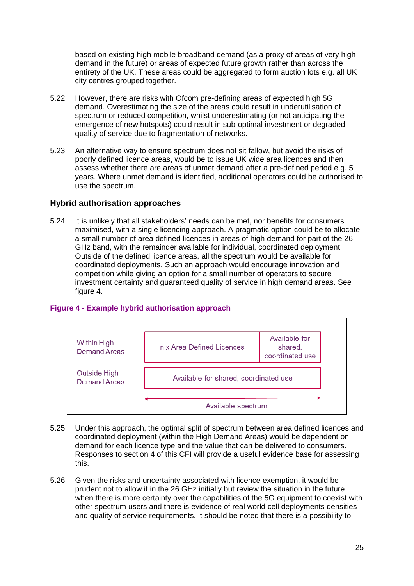based on existing high mobile broadband demand (as a proxy of areas of very high demand in the future) or areas of expected future growth rather than across the entirety of the UK. These areas could be aggregated to form auction lots e.g. all UK city centres grouped together.

- 5.22 However, there are risks with Ofcom pre-defining areas of expected high 5G demand. Overestimating the size of the areas could result in underutilisation of spectrum or reduced competition, whilst underestimating (or not anticipating the emergence of new hotspots) could result in sub-optimal investment or degraded quality of service due to fragmentation of networks.
- 5.23 An alternative way to ensure spectrum does not sit fallow, but avoid the risks of poorly defined licence areas, would be to issue UK wide area licences and then assess whether there are areas of unmet demand after a pre-defined period e.g. 5 years. Where unmet demand is identified, additional operators could be authorised to use the spectrum.

#### **Hybrid authorisation approaches**

5.24 It is unlikely that all stakeholders' needs can be met, nor benefits for consumers maximised, with a single licencing approach. A pragmatic option could be to allocate a small number of area defined licences in areas of high demand for part of the 26 GHz band, with the remainder available for individual, coordinated deployment. Outside of the defined licence areas, all the spectrum would be available for coordinated deployments. Such an approach would encourage innovation and competition while giving an option for a small number of operators to secure investment certainty and guaranteed quality of service in high demand areas. See figure 4.

#### **Figure 4 - Example hybrid authorisation approach**



- 5.25 Under this approach, the optimal split of spectrum between area defined licences and coordinated deployment (within the High Demand Areas) would be dependent on demand for each licence type and the value that can be delivered to consumers. Responses to section 4 of this CFI will provide a useful evidence base for assessing this.
- 5.26 Given the risks and uncertainty associated with licence exemption, it would be prudent not to allow it in the 26 GHz initially but review the situation in the future when there is more certainty over the capabilities of the 5G equipment to coexist with other spectrum users and there is evidence of real world cell deployments densities and quality of service requirements. It should be noted that there is a possibility to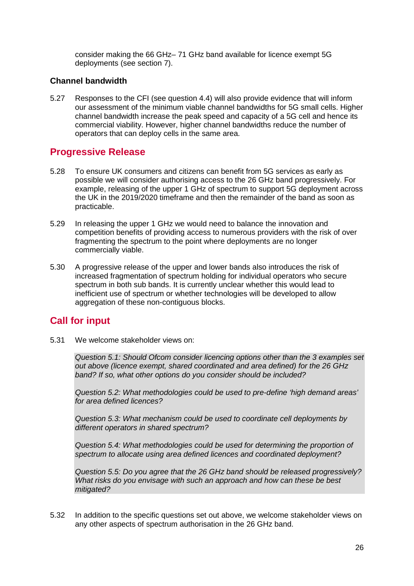consider making the 66 GHz– 71 GHz band available for licence exempt 5G deployments (see section 7).

#### **Channel bandwidth**

5.27 Responses to the CFI (see question 4.4) will also provide evidence that will inform our assessment of the minimum viable channel bandwidths for 5G small cells. Higher channel bandwidth increase the peak speed and capacity of a 5G cell and hence its commercial viability. However, higher channel bandwidths reduce the number of operators that can deploy cells in the same area.

## **Progressive Release**

- 5.28 To ensure UK consumers and citizens can benefit from 5G services as early as possible we will consider authorising access to the 26 GHz band progressively. For example, releasing of the upper 1 GHz of spectrum to support 5G deployment across the UK in the 2019/2020 timeframe and then the remainder of the band as soon as practicable.
- 5.29 In releasing the upper 1 GHz we would need to balance the innovation and competition benefits of providing access to numerous providers with the risk of over fragmenting the spectrum to the point where deployments are no longer commercially viable.
- 5.30 A progressive release of the upper and lower bands also introduces the risk of increased fragmentation of spectrum holding for individual operators who secure spectrum in both sub bands. It is currently unclear whether this would lead to inefficient use of spectrum or whether technologies will be developed to allow aggregation of these non-contiguous blocks.

## **Call for input**

5.31 We welcome stakeholder views on:

*Question 5.1: Should Ofcom consider licencing options other than the 3 examples set out above (licence exempt, shared coordinated and area defined) for the 26 GHz band? If so, what other options do you consider should be included?*

*Question 5.2: What methodologies could be used to pre-define 'high demand areas' for area defined licences?*

*Question 5.3: What mechanism could be used to coordinate cell deployments by different operators in shared spectrum?*

*Question 5.4: What methodologies could be used for determining the proportion of spectrum to allocate using area defined licences and coordinated deployment?*

*Question 5.5: Do you agree that the 26 GHz band should be released progressively? What risks do you envisage with such an approach and how can these be best mitigated?*

5.32 In addition to the specific questions set out above, we welcome stakeholder views on any other aspects of spectrum authorisation in the 26 GHz band.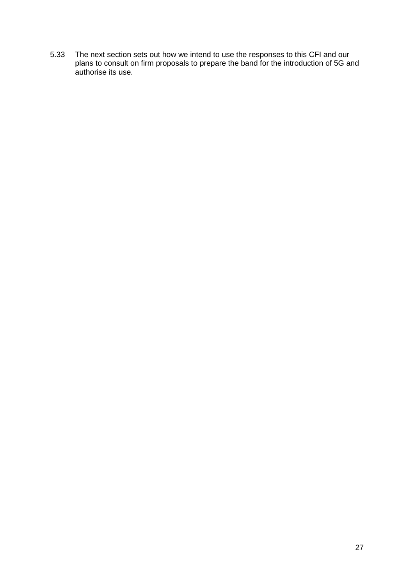5.33 The next section sets out how we intend to use the responses to this CFI and our plans to consult on firm proposals to prepare the band for the introduction of 5G and authorise its use.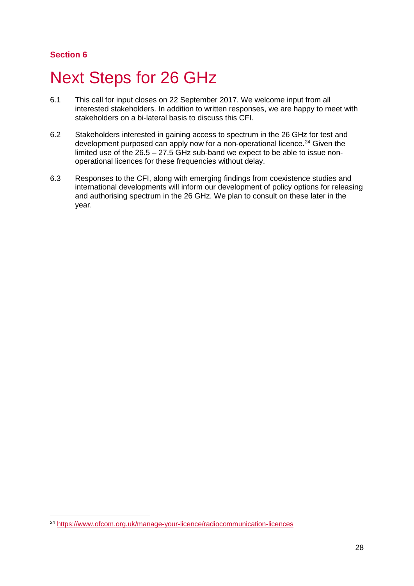#### **Section 6**

 $\overline{a}$ 

# <span id="page-28-0"></span>**Next Steps for 26 GHz**

- 6.1 This call for input closes on 22 September 2017. We welcome input from all interested stakeholders. In addition to written responses, we are happy to meet with stakeholders on a bi-lateral basis to discuss this CFI.
- 6.2 Stakeholders interested in gaining access to spectrum in the 26 GHz for test and development purposed can apply now for a non-operational licence. [24](#page-28-1) Given the limited use of the  $26.5 - 27.5$  GHz sub-band we expect to be able to issue nonoperational licences for these frequencies without delay.
- 6.3 Responses to the CFI, along with emerging findings from coexistence studies and international developments will inform our development of policy options for releasing and authorising spectrum in the 26 GHz. We plan to consult on these later in the year.

<span id="page-28-1"></span><sup>24</sup> <https://www.ofcom.org.uk/manage-your-licence/radiocommunication-licences>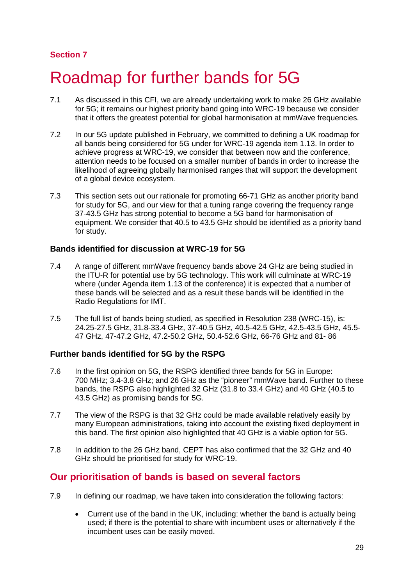### **Section 7**

# <span id="page-29-0"></span>7 Roadmap for further bands for 5G

- 7.1 As discussed in this CFI, we are already undertaking work to make 26 GHz available for 5G; it remains our highest priority band going into WRC-19 because we consider that it offers the greatest potential for global harmonisation at mmWave frequencies.
- 7.2 In our 5G update published in February, we committed to defining a UK roadmap for all bands being considered for 5G under for WRC-19 agenda item 1.13. In order to achieve progress at WRC-19, we consider that between now and the conference, attention needs to be focused on a smaller number of bands in order to increase the likelihood of agreeing globally harmonised ranges that will support the development of a global device ecosystem.
- 7.3 This section sets out our rationale for promoting 66-71 GHz as another priority band for study for 5G, and our view for that a tuning range covering the frequency range 37-43.5 GHz has strong potential to become a 5G band for harmonisation of equipment. We consider that 40.5 to 43.5 GHz should be identified as a priority band for study.

#### **Bands identified for discussion at WRC-19 for 5G**

- 7.4 A range of different mmWave frequency bands above 24 GHz are being studied in the ITU-R for potential use by 5G technology. This work will culminate at WRC-19 where (under Agenda item 1.13 of the conference) it is expected that a number of these bands will be selected and as a result these bands will be identified in the Radio Regulations for IMT.
- 7.5 The full list of bands being studied, as specified in Resolution 238 (WRC-15), is: 24.25-27.5 GHz, 31.8-33.4 GHz, 37-40.5 GHz, 40.5-42.5 GHz, 42.5-43.5 GHz, 45.5- 47 GHz, 47-47.2 GHz, 47.2-50.2 GHz, 50.4-52.6 GHz, 66-76 GHz and 81- 86

#### **Further bands identified for 5G by the RSPG**

- 7.6 In the first opinion on 5G, the RSPG identified three bands for 5G in Europe: 700 MHz; 3.4-3.8 GHz; and 26 GHz as the "pioneer" mmWave band. Further to these bands, the RSPG also highlighted 32 GHz (31.8 to 33.4 GHz) and 40 GHz (40.5 to 43.5 GHz) as promising bands for 5G.
- 7.7 The view of the RSPG is that 32 GHz could be made available relatively easily by many European administrations, taking into account the existing fixed deployment in this band. The first opinion also highlighted that 40 GHz is a viable option for 5G.
- 7.8 In addition to the 26 GHz band, CEPT has also confirmed that the 32 GHz and 40 GHz should be prioritised for study for WRC-19.

## **Our prioritisation of bands is based on several factors**

- 7.9 In defining our roadmap, we have taken into consideration the following factors:
	- Current use of the band in the UK, including: whether the band is actually being used; if there is the potential to share with incumbent uses or alternatively if the incumbent uses can be easily moved.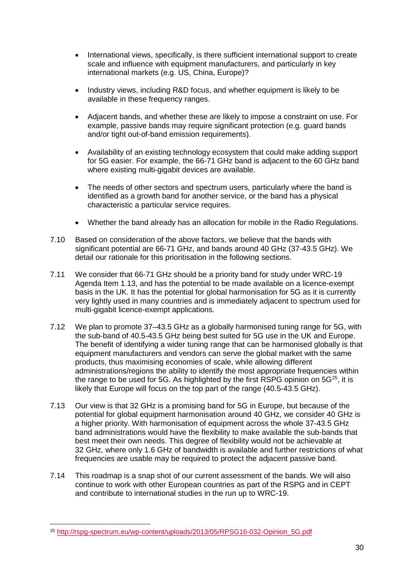- International views, specifically, is there sufficient international support to create scale and influence with equipment manufacturers, and particularly in key international markets (e.g. US, China, Europe)?
- Industry views, including R&D focus, and whether equipment is likely to be available in these frequency ranges.
- Adjacent bands, and whether these are likely to impose a constraint on use. For example, passive bands may require significant protection (e.g. guard bands and/or tight out-of-band emission requirements).
- Availability of an existing technology ecosystem that could make adding support for 5G easier. For example, the 66-71 GHz band is adjacent to the 60 GHz band where existing multi-gigabit devices are available.
- The needs of other sectors and spectrum users, particularly where the band is identified as a growth band for another service, or the band has a physical characteristic a particular service requires.
- Whether the band already has an allocation for mobile in the Radio Regulations.
- 7.10 Based on consideration of the above factors, we believe that the bands with significant potential are 66-71 GHz, and bands around 40 GHz (37-43.5 GHz). We detail our rationale for this prioritisation in the following sections.
- 7.11 We consider that 66-71 GHz should be a priority band for study under WRC-19 Agenda Item 1.13, and has the potential to be made available on a licence-exempt basis in the UK. It has the potential for global harmonisation for 5G as it is currently very lightly used in many countries and is immediately adjacent to spectrum used for multi-gigabit licence-exempt applications.
- 7.12 We plan to promote 37–43.5 GHz as a globally harmonised tuning range for 5G, with the sub-band of 40.5-43.5 GHz being best suited for 5G use in the UK and Europe. The benefit of identifying a wider tuning range that can be harmonised globally is that equipment manufacturers and vendors can serve the global market with the same products, thus maximising economies of scale, while allowing different administrations/regions the ability to identify the most appropriate frequencies within the range to be used for 5G. As highlighted by the first RSPG opinion on  $5G^{25}$ , it is likely that Europe will focus on the top part of the range (40.5-43.5 GHz).
- 7.13 Our view is that 32 GHz is a promising band for 5G in Europe, but because of the potential for global equipment harmonisation around 40 GHz, we consider 40 GHz is a higher priority. With harmonisation of equipment across the whole 37-43.5 GHz band administrations would have the flexibility to make available the sub-bands that best meet their own needs. This degree of flexibility would not be achievable at 32 GHz, where only 1.6 GHz of bandwidth is available and further restrictions of what frequencies are usable may be required to protect the adjacent passive band.
- 7.14 This roadmap is a snap shot of our current assessment of the bands. We will also continue to work with other European countries as part of the RSPG and in CEPT and contribute to international studies in the run up to WRC-19.

**.** 

<span id="page-30-0"></span><sup>25</sup> [http://rspg-spectrum.eu/wp-content/uploads/2013/05/RPSG16-032-Opinion\\_5G.pdf](http://rspg-spectrum.eu/wp-content/uploads/2013/05/RPSG16-032-Opinion_5G.pdf)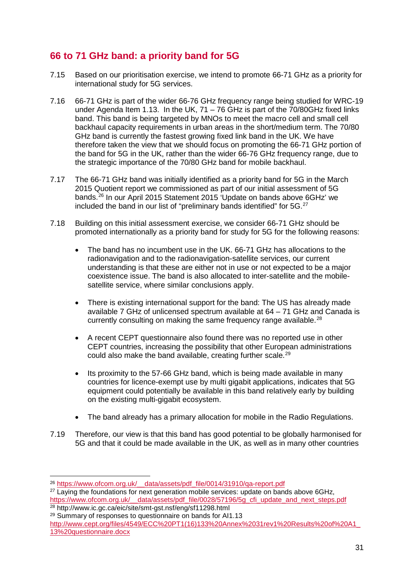## **66 to 71 GHz band: a priority band for 5G**

- 7.15 Based on our prioritisation exercise, we intend to promote 66-71 GHz as a priority for international study for 5G services.
- 7.16 66-71 GHz is part of the wider 66-76 GHz frequency range being studied for WRC-19 under Agenda Item 1.13. In the UK, 71 – 76 GHz is part of the 70/80GHz fixed links band. This band is being targeted by MNOs to meet the macro cell and small cell backhaul capacity requirements in urban areas in the short/medium term. The 70/80 GHz band is currently the fastest growing fixed link band in the UK. We have therefore taken the view that we should focus on promoting the 66-71 GHz portion of the band for 5G in the UK, rather than the wider 66-76 GHz frequency range, due to the strategic importance of the 70/80 GHz band for mobile backhaul.
- 7.17 The 66-71 GHz band was initially identified as a priority band for 5G in the March 2015 Quotient report we commissioned as part of our initial assessment of 5G bands.[26](#page-31-0) In our April 2015 Statement 2015 'Update on bands above 6GHz' we included the band in our list of "preliminary bands identified" for 5G.[27](#page-31-1)
- 7.18 Building on this initial assessment exercise, we consider 66-71 GHz should be promoted internationally as a priority band for study for 5G for the following reasons:
	- The band has no incumbent use in the UK. 66-71 GHz has allocations to the radionavigation and to the radionavigation-satellite services, our current understanding is that these are either not in use or not expected to be a major coexistence issue. The band is also allocated to inter-satellite and the mobilesatellite service, where similar conclusions apply.
	- There is existing international support for the band: The US has already made available 7 GHz of unlicensed spectrum available at 64 – 71 GHz and Canada is currently consulting on making the same frequency range available.<sup>[28](#page-31-2)</sup>
	- A recent CEPT questionnaire also found there was no reported use in other CEPT countries, increasing the possibility that other European administrations could also make the band available, creating further scale.<sup>[29](#page-31-3)</sup>
	- Its proximity to the 57-66 GHz band, which is being made available in many countries for licence-exempt use by multi gigabit applications, indicates that 5G equipment could potentially be available in this band relatively early by building on the existing multi-gigabit ecosystem.
	- The band already has a primary allocation for mobile in the Radio Regulations.
- 7.19 Therefore, our view is that this band has good potential to be globally harmonised for 5G and that it could be made available in the UK, as well as in many other countries

**.** 

<span id="page-31-0"></span><sup>26</sup> [https://www.ofcom.org.uk/\\_\\_data/assets/pdf\\_file/0014/31910/qa-report.pdf](https://www.ofcom.org.uk/__data/assets/pdf_file/0014/31910/qa-report.pdf)

<span id="page-31-1"></span><sup>&</sup>lt;sup>27</sup> Laying the foundations for next generation mobile services: update on bands above 6GHz. [https://www.ofcom.org.uk/\\_\\_data/assets/pdf\\_file/0028/57196/5g\\_cfi\\_update\\_and\\_next\\_steps.pdf](https://www.ofcom.org.uk/__data/assets/pdf_file/0028/57196/5g_cfi_update_and_next_steps.pdf) <sup>28</sup> http://www.ic.gc.ca/eic/site/smt-gst.nsf/eng/sf11298.html

<span id="page-31-3"></span><span id="page-31-2"></span><sup>&</sup>lt;sup>29</sup> Summary of responses to questionnaire on bands for AI1.13

[http://www.cept.org/files/4549/ECC%20PT1\(16\)133%20Annex%2031rev1%20Results%20of%20A1\\_](http://www.cept.org/files/4549/ECC%20PT1(16)133%20Annex%2031rev1%20Results%20of%20A1_13%20questionnaire.docx) [13%20questionnaire.docx](http://www.cept.org/files/4549/ECC%20PT1(16)133%20Annex%2031rev1%20Results%20of%20A1_13%20questionnaire.docx)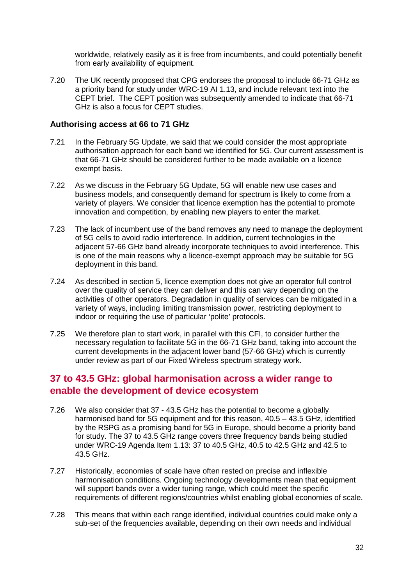worldwide, relatively easily as it is free from incumbents, and could potentially benefit from early availability of equipment.

7.20 The UK recently proposed that CPG endorses the proposal to include 66-71 GHz as a priority band for study under WRC-19 AI 1.13, and include relevant text into the CEPT brief. The CEPT position was subsequently amended to indicate that 66-71 GHz is also a focus for CEPT studies.

#### **Authorising access at 66 to 71 GHz**

- 7.21 In the February 5G Update, we said that we could consider the most appropriate authorisation approach for each band we identified for 5G. Our current assessment is that 66-71 GHz should be considered further to be made available on a licence exempt basis.
- 7.22 As we discuss in the February 5G Update, 5G will enable new use cases and business models, and consequently demand for spectrum is likely to come from a variety of players. We consider that licence exemption has the potential to promote innovation and competition, by enabling new players to enter the market.
- 7.23 The lack of incumbent use of the band removes any need to manage the deployment of 5G cells to avoid radio interference. In addition, current technologies in the adjacent 57-66 GHz band already incorporate techniques to avoid interference. This is one of the main reasons why a licence-exempt approach may be suitable for 5G deployment in this band.
- 7.24 As described in section 5, licence exemption does not give an operator full control over the quality of service they can deliver and this can vary depending on the activities of other operators. Degradation in quality of services can be mitigated in a variety of ways, including limiting transmission power, restricting deployment to indoor or requiring the use of particular 'polite' protocols.
- 7.25 We therefore plan to start work, in parallel with this CFI, to consider further the necessary regulation to facilitate 5G in the 66-71 GHz band, taking into account the current developments in the adjacent lower band (57-66 GHz) which is currently under review as part of our Fixed Wireless spectrum strategy work.

## **37 to 43.5 GHz: global harmonisation across a wider range to enable the development of device ecosystem**

- 7.26 We also consider that 37 43.5 GHz has the potential to become a globally harmonised band for 5G equipment and for this reason, 40.5 – 43.5 GHz, identified by the RSPG as a promising band for 5G in Europe, should become a priority band for study. The 37 to 43.5 GHz range covers three frequency bands being studied under WRC-19 Agenda Item 1.13: 37 to 40.5 GHz, 40.5 to 42.5 GHz and 42.5 to 43.5 GHz.
- 7.27 Historically, economies of scale have often rested on precise and inflexible harmonisation conditions. Ongoing technology developments mean that equipment will support bands over a wider tuning range, which could meet the specific requirements of different regions/countries whilst enabling global economies of scale.
- 7.28 This means that within each range identified, individual countries could make only a sub-set of the frequencies available, depending on their own needs and individual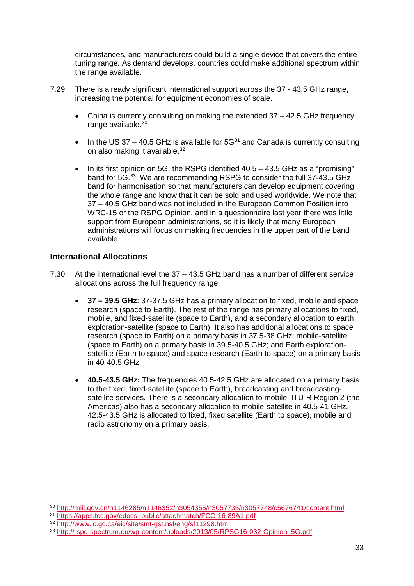circumstances, and manufacturers could build a single device that covers the entire tuning range. As demand develops, countries could make additional spectrum within the range available.

- 7.29 There is already significant international support across the 37 43.5 GHz range, increasing the potential for equipment economies of scale.
	- China is currently consulting on making the extended 37 42.5 GHz frequency range available. $30$
	- In the US 37 40.5 GHz is available for  $5G^{31}$  and Canada is currently consulting on also making it available.<sup>[32](#page-33-2)</sup>
	- In its first opinion on 5G, the RSPG identified 40.5 43.5 GHz as a "promising" band for 5G.<sup>[33](#page-33-3)</sup> We are recommending RSPG to consider the full 37-43.5 GHz band for harmonisation so that manufacturers can develop equipment covering the whole range and know that it can be sold and used worldwide. We note that 37 – 40.5 GHz band was not included in the European Common Position into WRC-15 or the RSPG Opinion, and in a questionnaire last year there was little support from European administrations, so it is likely that many European administrations will focus on making frequencies in the upper part of the band available.

#### **International Allocations**

- 7.30 At the international level the 37 43.5 GHz band has a number of different service allocations across the full frequency range.
	- **37 – 39.5 GHz**: 37-37.5 GHz has a primary allocation to fixed, mobile and space research (space to Earth). The rest of the range has primary allocations to fixed, mobile, and fixed-satellite (space to Earth), and a secondary allocation to earth exploration-satellite (space to Earth). It also has additional allocations to space research (space to Earth) on a primary basis in 37.5-38 GHz; mobile-satellite (space to Earth) on a primary basis in 39.5-40.5 GHz; and Earth explorationsatellite (Earth to space) and space research (Earth to space) on a primary basis in 40-40.5 GHz
	- **40.5-43.5 GHz:** The frequencies 40.5-42.5 GHz are allocated on a primary basis to the fixed, fixed-satellite (space to Earth), broadcasting and broadcastingsatellite services. There is a secondary allocation to mobile. ITU-R Region 2 (the Americas) also has a secondary allocation to mobile-satellite in 40.5-41 GHz. 42.5-43.5 GHz is allocated to fixed, fixed satellite (Earth to space), mobile and radio astronomy on a primary basis.

<u>.</u>

<span id="page-33-0"></span><sup>30</sup> <http://miit.gov.cn/n1146285/n1146352/n3054355/n3057735/n3057748/c5676741/content.html>

<span id="page-33-1"></span><sup>&</sup>lt;sup>31</sup> [https://apps.fcc.gov/edocs\\_public/attachmatch/FCC-16-89A1.pdf](https://apps.fcc.gov/edocs_public/attachmatch/FCC-16-89A1.pdf)

<span id="page-33-2"></span><sup>32</sup> <http://www.ic.gc.ca/eic/site/smt-gst.nsf/eng/sf11298.html>

<span id="page-33-3"></span><sup>33</sup> [http://rspg-spectrum.eu/wp-content/uploads/2013/05/RPSG16-032-Opinion\\_5G.pdf](http://rspg-spectrum.eu/wp-content/uploads/2013/05/RPSG16-032-Opinion_5G.pdf)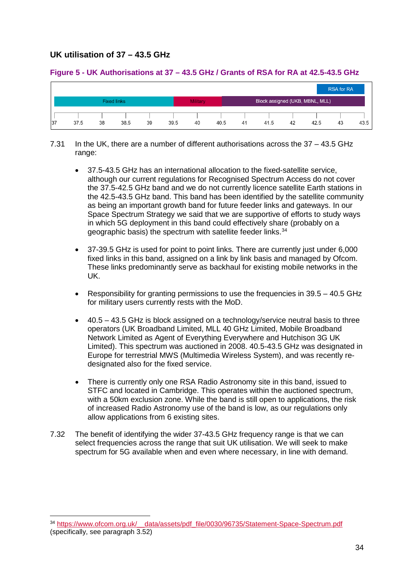#### **UK utilisation of 37 – 43.5 GHz**

| Figure 5 - UK Authorisations at 37 - 43.5 GHz / Grants of RSA for RA at 42.5-43.5 GHz |  |
|---------------------------------------------------------------------------------------|--|
|---------------------------------------------------------------------------------------|--|

|    |      |    |                    |    |      |                 |      |    |                                 |    |      | <b>RSA for RA</b> |      |
|----|------|----|--------------------|----|------|-----------------|------|----|---------------------------------|----|------|-------------------|------|
|    |      |    | <b>Fixed links</b> |    |      | <b>Military</b> |      |    | Block assigned (UKB, MBNL, MLL) |    |      |                   |      |
| 37 | 37.5 | 38 | 38.5               | 39 | 39.5 | 40              | 40.5 | 41 | 41.5                            | 42 | 42.5 | 43                | 43.5 |

- 7.31 In the UK, there are a number of different authorisations across the 37 43.5 GHz range:
	- 37.5-43.5 GHz has an international allocation to the fixed-satellite service, although our current regulations for Recognised Spectrum Access do not cover the 37.5-42.5 GHz band and we do not currently licence satellite Earth stations in the 42.5-43.5 GHz band. This band has been identified by the satellite community as being an important growth band for future feeder links and gateways. In our Space Spectrum Strategy we said that we are supportive of efforts to study ways in which 5G deployment in this band could effectively share (probably on a geographic basis) the spectrum with satellite feeder links.<sup>[34](#page-34-0)</sup>
	- 37-39.5 GHz is used for point to point links. There are currently just under 6,000 fixed links in this band, assigned on a link by link basis and managed by Ofcom. These links predominantly serve as backhaul for existing mobile networks in the UK.
	- Responsibility for granting permissions to use the frequencies in 39.5 40.5 GHz for military users currently rests with the MoD.
	- 40.5 43.5 GHz is block assigned on a technology/service neutral basis to three operators (UK Broadband Limited, MLL 40 GHz Limited, Mobile Broadband Network Limited as Agent of Everything Everywhere and Hutchison 3G UK Limited). This spectrum was auctioned in 2008. 40.5-43.5 GHz was designated in Europe for terrestrial MWS (Multimedia Wireless System), and was recently redesignated also for the fixed service.
	- There is currently only one RSA Radio Astronomy site in this band, issued to STFC and located in Cambridge. This operates within the auctioned spectrum, with a 50km exclusion zone. While the band is still open to applications, the risk of increased Radio Astronomy use of the band is low, as our regulations only allow applications from 6 existing sites.
- 7.32 The benefit of identifying the wider 37-43.5 GHz frequency range is that we can select frequencies across the range that suit UK utilisation. We will seek to make spectrum for 5G available when and even where necessary, in line with demand.

 $\overline{a}$ 

<span id="page-34-0"></span><sup>34</sup> [https://www.ofcom.org.uk/\\_\\_data/assets/pdf\\_file/0030/96735/Statement-Space-Spectrum.pdf](https://www.ofcom.org.uk/__data/assets/pdf_file/0030/96735/Statement-Space-Spectrum.pdf) (specifically, see paragraph 3.52)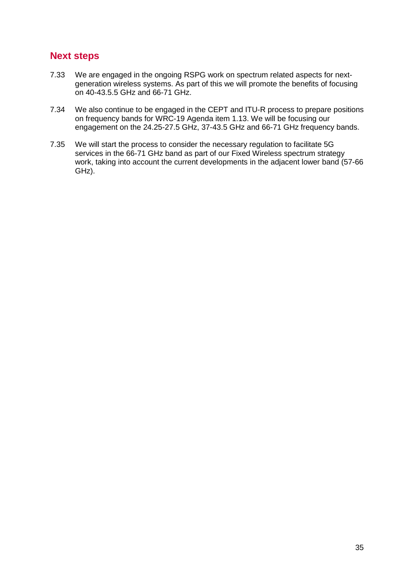## **Next steps**

- 7.33 We are engaged in the ongoing RSPG work on spectrum related aspects for nextgeneration wireless systems. As part of this we will promote the benefits of focusing on 40-43.5.5 GHz and 66-71 GHz.
- 7.34 We also continue to be engaged in the CEPT and ITU-R process to prepare positions on frequency bands for WRC-19 Agenda item 1.13. We will be focusing our engagement on the 24.25-27.5 GHz, 37-43.5 GHz and 66-71 GHz frequency bands.
- 7.35 We will start the process to consider the necessary regulation to facilitate 5G services in the 66-71 GHz band as part of our Fixed Wireless spectrum strategy work, taking into account the current developments in the adjacent lower band (57-66 GHz).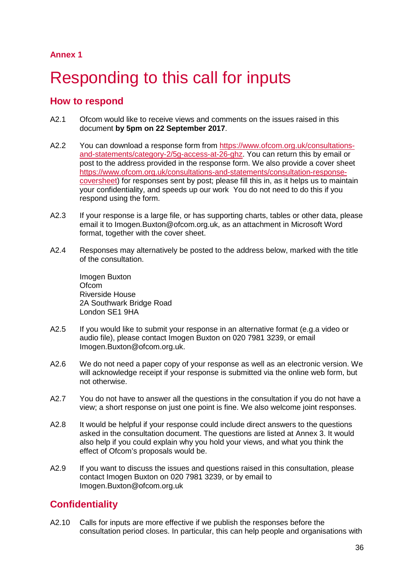**Annex 1**

# <span id="page-36-0"></span>2 Responding to this call for inputs

## **How to respond**

- A2.1 Ofcom would like to receive views and comments on the issues raised in this document **by 5pm on 22 September 2017**.
- A2.2 You can download a response form from [https://www.ofcom.org.uk/consultations](https://www.ofcom.org.uk/consultations-and-statements/category-2/5g-access-at-26-ghz)[and-statements/category-2/5g-access-at-26-ghz.](https://www.ofcom.org.uk/consultations-and-statements/category-2/5g-access-at-26-ghz) You can return this by email or post to the address provided in the response form. We also provide a cover sheet [https://www.ofcom.org.uk/consultations-and-statements/consultation-response](https://www.ofcom.org.uk/consultations-and-statements/consultation-response-coversheet)[coversheet\)](https://www.ofcom.org.uk/consultations-and-statements/consultation-response-coversheet) for responses sent by post; please fill this in, as it helps us to maintain your confidentiality, and speeds up our work You do not need to do this if you respond using the form.
- A2.3 If your response is a large file, or has supporting charts, tables or other data, please email it to Imogen.Buxton@ofcom.org.uk, as an attachment in Microsoft Word format, together with the cover sheet.
- A2.4 Responses may alternatively be posted to the address below, marked with the title of the consultation.

Imogen Buxton Ofcom Riverside House 2A Southwark Bridge Road London SE1 9HA

- A2.5 If you would like to submit your response in an alternative format (e.g.a video or audio file), please contact Imogen Buxton on 020 7981 3239, or email Imogen.Buxton@ofcom.org.uk.
- A2.6 We do not need a paper copy of your response as well as an electronic version. We will acknowledge receipt if your response is submitted via the online web form, but not otherwise.
- A2.7 You do not have to answer all the questions in the consultation if you do not have a view; a short response on just one point is fine. We also welcome joint responses.
- A2.8 It would be helpful if your response could include direct answers to the questions asked in the consultation document. The questions are listed at Annex 3. It would also help if you could explain why you hold your views, and what you think the effect of Ofcom's proposals would be.
- A2.9 If you want to discuss the issues and questions raised in this consultation, please contact Imogen Buxton on 020 7981 3239, or by email to Imogen.Buxton@ofcom.org.uk

## **Confidentiality**

A2.10 Calls for inputs are more effective if we publish the responses before the consultation period closes. In particular, this can help people and organisations with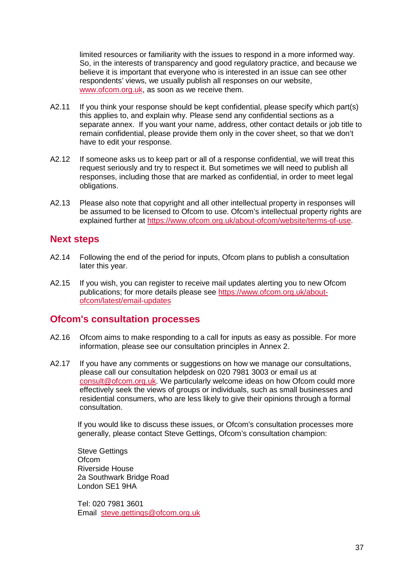limited resources or familiarity with the issues to respond in a more informed way. So, in the interests of transparency and good regulatory practice, and because we believe it is important that everyone who is interested in an issue can see other respondents' views, we usually publish all responses on our website, [www.ofcom.org.uk,](http://www.ofcom.org.uk/) as soon as we receive them.

- A2.11 If you think your response should be kept confidential, please specify which part(s) this applies to, and explain why. Please send any confidential sections as a separate annex. If you want your name, address, other contact details or job title to remain confidential, please provide them only in the cover sheet, so that we don't have to edit your response.
- A2.12 If someone asks us to keep part or all of a response confidential, we will treat this request seriously and try to respect it. But sometimes we will need to publish all responses, including those that are marked as confidential, in order to meet legal obligations.
- A2.13 Please also note that copyright and all other intellectual property in responses will be assumed to be licensed to Ofcom to use. Ofcom's intellectual property rights are explained further at [https://www.ofcom.org.uk/about-ofcom/website/terms-of-use.](https://www.ofcom.org.uk/about-ofcom/website/terms-of-use)

#### **Next steps**

- A2.14 Following the end of the period for inputs, Ofcom plans to publish a consultation later this year.
- A2.15 If you wish, you can register to receive mail updates alerting you to new Ofcom publications; for more details please see [https://www.ofcom.org.uk/about](https://www.ofcom.org.uk/about-ofcom/latest/email-updates)[ofcom/latest/email-updates](https://www.ofcom.org.uk/about-ofcom/latest/email-updates)

#### **Ofcom's consultation processes**

- A2.16 Ofcom aims to make responding to a call for inputs as easy as possible. For more information, please see our consultation principles in Annex 2.
- A2.17 If you have any comments or suggestions on how we manage our consultations, please call our consultation helpdesk on 020 7981 3003 or email us at [consult@ofcom.org.uk.](mailto:consult@ofcom.org.uk) We particularly welcome ideas on how Ofcom could more effectively seek the views of groups or individuals, such as small businesses and residential consumers, who are less likely to give their opinions through a formal consultation.

If you would like to discuss these issues, or Ofcom's consultation processes more generally, please contact Steve Gettings, Ofcom's consultation champion:

Steve Gettings Ofcom Riverside House 2a Southwark Bridge Road London SE1 9HA

Tel: 020 7981 3601 Email [steve.gettings@ofcom.org.uk](mailto:steve.gettings@ofcom.org.uk)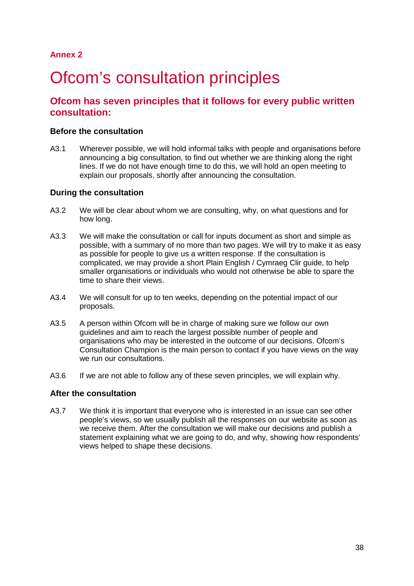#### **Annex 2**

## <span id="page-38-0"></span>**Ofcom's consultation principles**

## **Ofcom has seven principles that it follows for every public written consultation:**

#### **Before the consultation**

A3.1 Wherever possible, we will hold informal talks with people and organisations before announcing a big consultation, to find out whether we are thinking along the right lines. If we do not have enough time to do this, we will hold an open meeting to explain our proposals, shortly after announcing the consultation.

#### **During the consultation**

- A3.2 We will be clear about whom we are consulting, why, on what questions and for how long.
- A3.3 We will make the consultation or call for inputs document as short and simple as possible, with a summary of no more than two pages. We will try to make it as easy as possible for people to give us a written response. If the consultation is complicated, we may provide a short Plain English / Cymraeg Clir guide, to help smaller organisations or individuals who would not otherwise be able to spare the time to share their views.
- A3.4 We will consult for up to ten weeks, depending on the potential impact of our proposals.
- A3.5 A person within Ofcom will be in charge of making sure we follow our own guidelines and aim to reach the largest possible number of people and organisations who may be interested in the outcome of our decisions. Ofcom's Consultation Champion is the main person to contact if you have views on the way we run our consultations.
- A3.6 If we are not able to follow any of these seven principles, we will explain why.

#### **After the consultation**

A3.7 We think it is important that everyone who is interested in an issue can see other people's views, so we usually publish all the responses on our website as soon as we receive them. After the consultation we will make our decisions and publish a statement explaining what we are going to do, and why, showing how respondents' views helped to shape these decisions.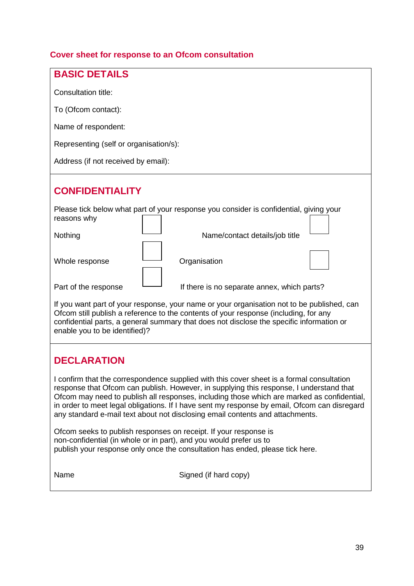## **Cover sheet for response to an Ofcom consultation**

| <b>BASIC DETAILS</b>                                                                                                                                                                                                                                                                                                                                                                                                                                                |  |  |  |  |
|---------------------------------------------------------------------------------------------------------------------------------------------------------------------------------------------------------------------------------------------------------------------------------------------------------------------------------------------------------------------------------------------------------------------------------------------------------------------|--|--|--|--|
| Consultation title:                                                                                                                                                                                                                                                                                                                                                                                                                                                 |  |  |  |  |
| To (Ofcom contact):                                                                                                                                                                                                                                                                                                                                                                                                                                                 |  |  |  |  |
| Name of respondent:                                                                                                                                                                                                                                                                                                                                                                                                                                                 |  |  |  |  |
| Representing (self or organisation/s):                                                                                                                                                                                                                                                                                                                                                                                                                              |  |  |  |  |
| Address (if not received by email):                                                                                                                                                                                                                                                                                                                                                                                                                                 |  |  |  |  |
| <b>CONFIDENTIALITY</b>                                                                                                                                                                                                                                                                                                                                                                                                                                              |  |  |  |  |
| Please tick below what part of your response you consider is confidential, giving your<br>reasons why                                                                                                                                                                                                                                                                                                                                                               |  |  |  |  |
| Nothing<br>Name/contact details/job title                                                                                                                                                                                                                                                                                                                                                                                                                           |  |  |  |  |
| Organisation<br>Whole response                                                                                                                                                                                                                                                                                                                                                                                                                                      |  |  |  |  |
| Part of the response<br>If there is no separate annex, which parts?                                                                                                                                                                                                                                                                                                                                                                                                 |  |  |  |  |
| If you want part of your response, your name or your organisation not to be published, can<br>Ofcom still publish a reference to the contents of your response (including, for any<br>confidential parts, a general summary that does not disclose the specific information or<br>enable you to be identified)?                                                                                                                                                     |  |  |  |  |
| <b>DECLARATION</b>                                                                                                                                                                                                                                                                                                                                                                                                                                                  |  |  |  |  |
| I confirm that the correspondence supplied with this cover sheet is a formal consultation<br>response that Ofcom can publish. However, in supplying this response, I understand that<br>Ofcom may need to publish all responses, including those which are marked as confidential,<br>in order to meet legal obligations. If I have sent my response by email, Ofcom can disregard<br>any standard e-mail text about not disclosing email contents and attachments. |  |  |  |  |
| Ofcom seeks to publish responses on receipt. If your response is<br>non-confidential (in whole or in part), and you would prefer us to<br>publish your response only once the consultation has ended, please tick here.                                                                                                                                                                                                                                             |  |  |  |  |
| Name<br>Signed (if hard copy)                                                                                                                                                                                                                                                                                                                                                                                                                                       |  |  |  |  |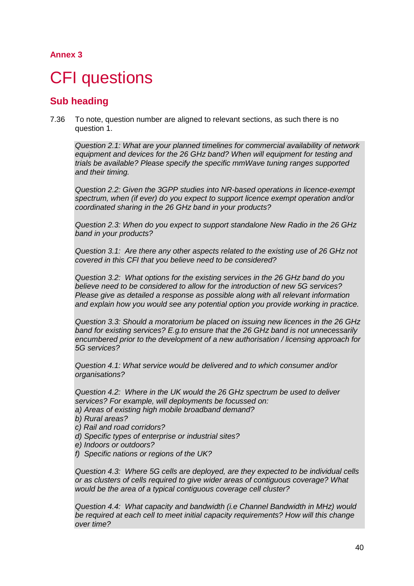#### **Annex 3**

## <span id="page-40-0"></span>**CFI questions**

## **Sub heading**

7.36 To note, question number are aligned to relevant sections, as such there is no question 1.

*Question 2.1: What are your planned timelines for commercial availability of network equipment and devices for the 26 GHz band? When will equipment for testing and trials be available? Please specify the specific mmWave tuning ranges supported and their timing.*

*Question 2.2: Given the 3GPP studies into NR-based operations in licence-exempt spectrum, when (if ever) do you expect to support licence exempt operation and/or coordinated sharing in the 26 GHz band in your products?* 

*Question 2.3: When do you expect to support standalone New Radio in the 26 GHz band in your products?* 

*Question 3.1: Are there any other aspects related to the existing use of 26 GHz not covered in this CFI that you believe need to be considered?*

*Question 3.2: What options for the existing services in the 26 GHz band do you believe need to be considered to allow for the introduction of new 5G services? Please give as detailed a response as possible along with all relevant information and explain how you would see any potential option you provide working in practice.* 

*Question 3.3: Should a moratorium be placed on issuing new licences in the 26 GHz band for existing services? E.g.to ensure that the 26 GHz band is not unnecessarily encumbered prior to the development of a new authorisation / licensing approach for 5G services?* 

*Question 4.1: What service would be delivered and to which consumer and/or organisations?*

*Question 4.2: Where in the UK would the 26 GHz spectrum be used to deliver services? For example, will deployments be focussed on: a) Areas of existing high mobile broadband demand?*

- *b) Rural areas?*
- *c) Rail and road corridors?*
- *d) Specific types of enterprise or industrial sites?*
- *e) Indoors or outdoors?*
- *f) Specific nations or regions of the UK?*

*Question 4.3: Where 5G cells are deployed, are they expected to be individual cells or as clusters of cells required to give wider areas of contiguous coverage? What would be the area of a typical contiguous coverage cell cluster?*

*Question 4.4: What capacity and bandwidth (i.e Channel Bandwidth in MHz) would be required at each cell to meet initial capacity requirements? How will this change over time?*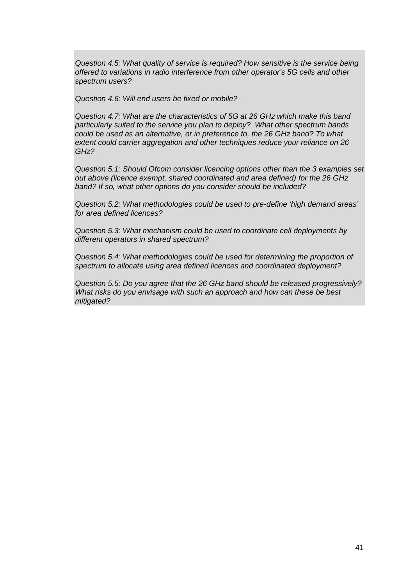*Question 4.5: What quality of service is required? How sensitive is the service being offered to variations in radio interference from other operator's 5G cells and other spectrum users?*

*Question 4.6: Will end users be fixed or mobile?*

*Question 4.7: What are the characteristics of 5G at 26 GHz which make this band particularly suited to the service you plan to deploy? What other spectrum bands could be used as an alternative, or in preference to, the 26 GHz band? To what extent could carrier aggregation and other techniques reduce your reliance on 26 GHz?* 

*Question 5.1: Should Ofcom consider licencing options other than the 3 examples set out above (licence exempt, shared coordinated and area defined) for the 26 GHz band? If so, what other options do you consider should be included?*

*Question 5.2: What methodologies could be used to pre-define 'high demand areas' for area defined licences?*

*Question 5.3: What mechanism could be used to coordinate cell deployments by different operators in shared spectrum?* 

*Question 5.4: What methodologies could be used for determining the proportion of spectrum to allocate using area defined licences and coordinated deployment?*

*Question 5.5: Do you agree that the 26 GHz band should be released progressively? What risks do you envisage with such an approach and how can these be best mitigated?*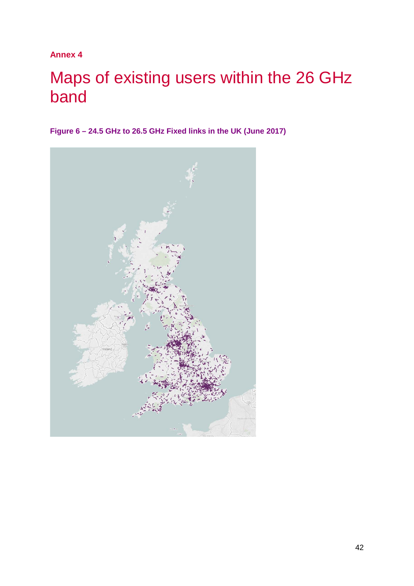**Annex 4**

# <span id="page-42-0"></span>Maps of existing users within the 26 GHz band

**Figure 6 – 24.5 GHz to 26.5 GHz Fixed links in the UK (June 2017)**